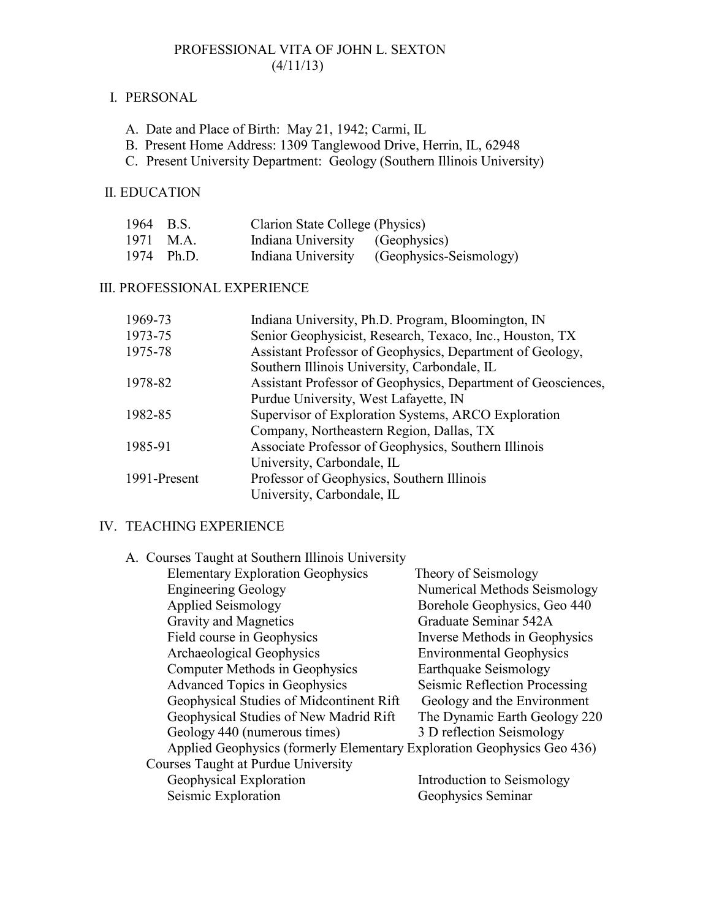### PROFESSIONAL VITA OF JOHN L. SEXTON  $(4/11/13)$

### I. PERSONAL

- A. Date and Place of Birth: May 21, 1942; Carmi, IL
- B. Present Home Address: 1309 Tanglewood Drive, Herrin, IL, 62948
- C. Present University Department: Geology (Southern Illinois University)

## II. EDUCATION

| 1964 B.S. |            | Clarion State College (Physics) |                                            |
|-----------|------------|---------------------------------|--------------------------------------------|
|           | 1971 M.A.  | Indiana University (Geophysics) |                                            |
|           | 1974 Ph.D. |                                 | Indiana University (Geophysics-Seismology) |

# III. PROFESSIONAL EXPERIENCE

| 1969-73      | Indiana University, Ph.D. Program, Bloomington, IN            |
|--------------|---------------------------------------------------------------|
| 1973-75      | Senior Geophysicist, Research, Texaco, Inc., Houston, TX      |
| 1975-78      | Assistant Professor of Geophysics, Department of Geology,     |
|              | Southern Illinois University, Carbondale, IL                  |
| 1978-82      | Assistant Professor of Geophysics, Department of Geosciences, |
|              | Purdue University, West Lafayette, IN                         |
| 1982-85      | Supervisor of Exploration Systems, ARCO Exploration           |
|              | Company, Northeastern Region, Dallas, TX                      |
| 1985-91      | Associate Professor of Geophysics, Southern Illinois          |
|              | University, Carbondale, IL                                    |
| 1991-Present | Professor of Geophysics, Southern Illinois                    |
|              | University, Carbondale, IL                                    |

## IV. TEACHING EXPERIENCE

| A. Courses Taught at Southern Illinois University                       |                                 |
|-------------------------------------------------------------------------|---------------------------------|
| <b>Elementary Exploration Geophysics</b>                                | Theory of Seismology            |
| <b>Engineering Geology</b>                                              | Numerical Methods Seismology    |
| <b>Applied Seismology</b>                                               | Borehole Geophysics, Geo 440    |
| <b>Gravity and Magnetics</b>                                            | Graduate Seminar 542A           |
| Field course in Geophysics                                              | Inverse Methods in Geophysics   |
| Archaeological Geophysics                                               | <b>Environmental Geophysics</b> |
| <b>Computer Methods in Geophysics</b>                                   | <b>Earthquake Seismology</b>    |
| <b>Advanced Topics in Geophysics</b>                                    | Seismic Reflection Processing   |
| Geophysical Studies of Midcontinent Rift                                | Geology and the Environment     |
| Geophysical Studies of New Madrid Rift                                  | The Dynamic Earth Geology 220   |
| Geology 440 (numerous times)                                            | 3 D reflection Seismology       |
| Applied Geophysics (formerly Elementary Exploration Geophysics Geo 436) |                                 |
| Courses Taught at Purdue University                                     |                                 |
| Geophysical Exploration                                                 | Introduction to Seismology      |
| Seismic Exploration                                                     | Geophysics Seminar              |
|                                                                         |                                 |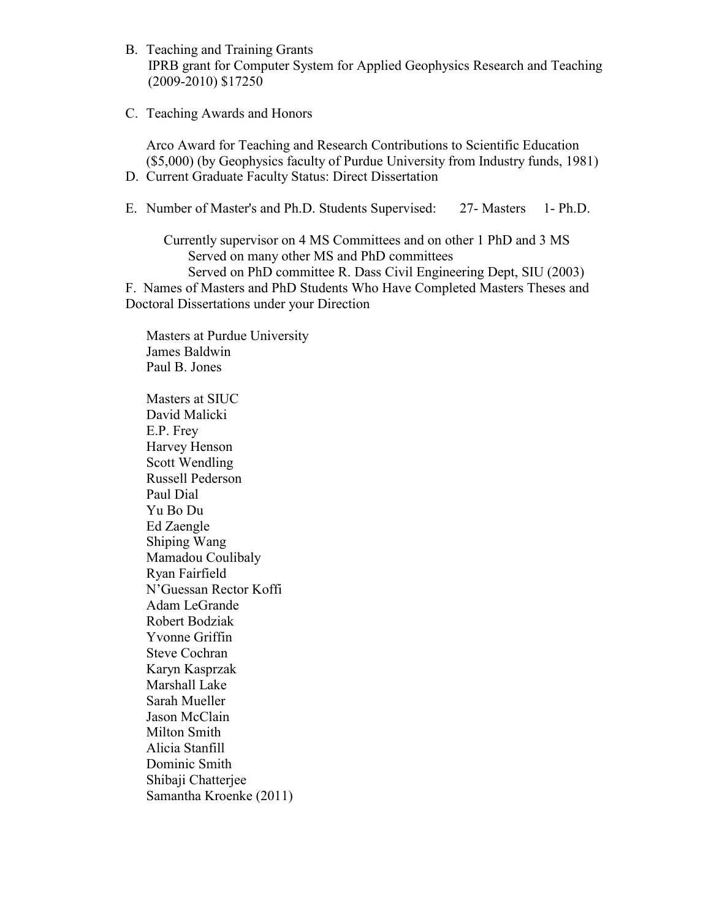- B. Teaching and Training Grants IPRB grant for Computer System for Applied Geophysics Research and Teaching (2009-2010) \$17250
- C. Teaching Awards and Honors

Arco Award for Teaching and Research Contributions to Scientific Education (\$5,000) (by Geophysics faculty of Purdue University from Industry funds, 1981) D. Current Graduate Faculty Status: Direct Dissertation

E. Number of Master's and Ph.D. Students Supervised: 27- Masters 1- Ph.D.

 Currently supervisor on 4 MS Committees and on other 1 PhD and 3 MS Served on many other MS and PhD committees Served on PhD committee R. Dass Civil Engineering Dept, SIU (2003) F. Names of Masters and PhD Students Who Have Completed Masters Theses and Doctoral Dissertations under your Direction

Masters at Purdue University James Baldwin Paul B. Jones

Masters at SIUC David Malicki E.P. Frey Harvey Henson Scott Wendling Russell Pederson Paul Dial Yu Bo Du Ed Zaengle Shiping Wang Mamadou Coulibaly Ryan Fairfield N'Guessan Rector Koffi Adam LeGrande Robert Bodziak Yvonne Griffin Steve Cochran Karyn Kasprzak Marshall Lake Sarah Mueller Jason McClain Milton Smith Alicia Stanfill Dominic Smith Shibaji Chatterjee Samantha Kroenke (2011)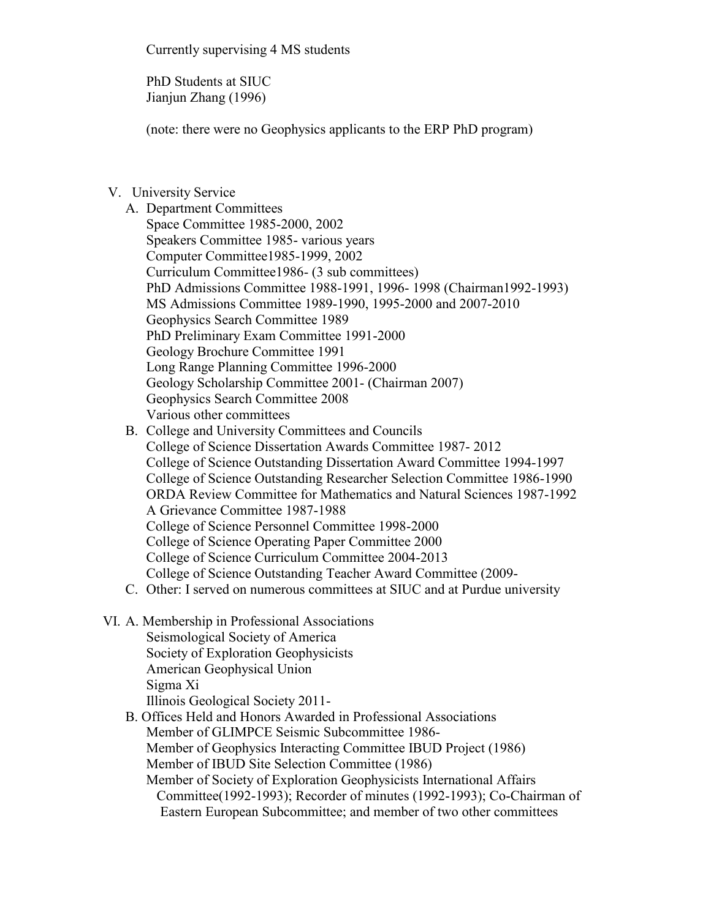Currently supervising 4 MS students

PhD Students at SIUC Jianjun Zhang (1996)

(note: there were no Geophysics applicants to the ERP PhD program)

# V. University Service

- A. Department Committees Space Committee 1985-2000, 2002 Speakers Committee 1985- various years Computer Committee1985-1999, 2002 Curriculum Committee1986- (3 sub committees) PhD Admissions Committee 1988-1991, 1996- 1998 (Chairman1992-1993) MS Admissions Committee 1989-1990, 1995-2000 and 2007-2010 Geophysics Search Committee 1989 PhD Preliminary Exam Committee 1991-2000 Geology Brochure Committee 1991 Long Range Planning Committee 1996-2000 Geology Scholarship Committee 2001- (Chairman 2007) Geophysics Search Committee 2008 Various other committees
- B. College and University Committees and Councils College of Science Dissertation Awards Committee 1987- 2012 College of Science Outstanding Dissertation Award Committee 1994-1997 College of Science Outstanding Researcher Selection Committee 1986-1990 ORDA Review Committee for Mathematics and Natural Sciences 1987-1992 A Grievance Committee 1987-1988 College of Science Personnel Committee 1998-2000 College of Science Operating Paper Committee 2000 College of Science Curriculum Committee 2004-2013
- College of Science Outstanding Teacher Award Committee (2009-
- C. Other: I served on numerous committees at SIUC and at Purdue university
- VI. A. Membership in Professional Associations Seismological Society of America
	- Society of Exploration Geophysicists
	- American Geophysical Union
	- Sigma Xi
	- Illinois Geological Society 2011-
	- B. Offices Held and Honors Awarded in Professional Associations Member of GLIMPCE Seismic Subcommittee 1986- Member of Geophysics Interacting Committee IBUD Project (1986) Member of IBUD Site Selection Committee (1986) Member of Society of Exploration Geophysicists International Affairs Committee(1992-1993); Recorder of minutes (1992-1993); Co-Chairman of
		- Eastern European Subcommittee; and member of two other committees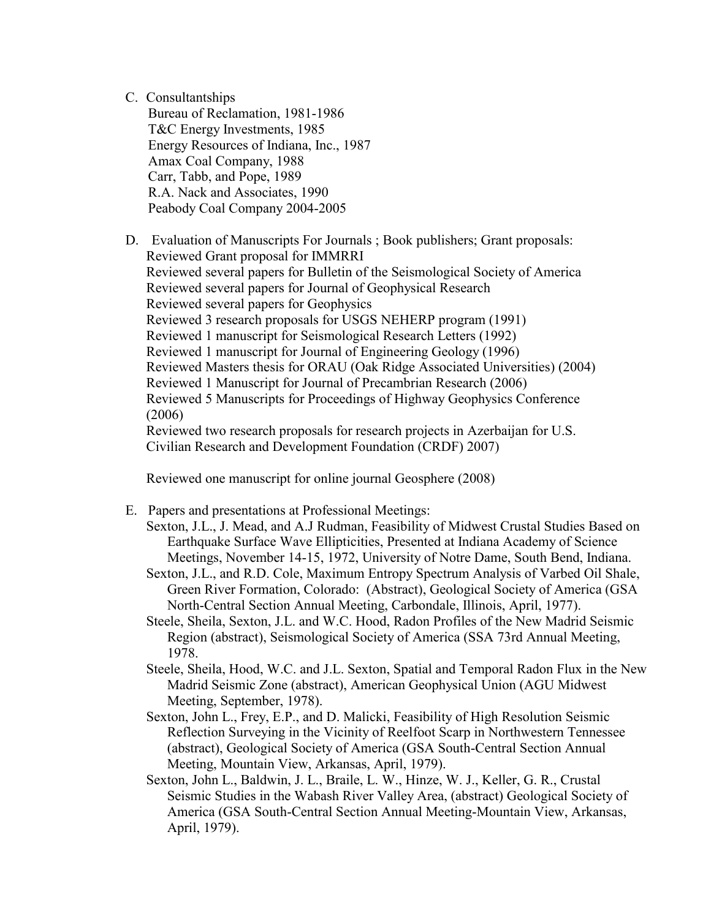## C. Consultantships

Bureau of Reclamation, 1981-1986 T&C Energy Investments, 1985 Energy Resources of Indiana, Inc., 1987 Amax Coal Company, 1988 Carr, Tabb, and Pope, 1989 R.A. Nack and Associates, 1990 Peabody Coal Company 2004-2005

D. Evaluation of Manuscripts For Journals ; Book publishers; Grant proposals: Reviewed Grant proposal for IMMRRI Reviewed several papers for Bulletin of the Seismological Society of America Reviewed several papers for Journal of Geophysical Research Reviewed several papers for Geophysics Reviewed 3 research proposals for USGS NEHERP program (1991) Reviewed 1 manuscript for Seismological Research Letters (1992) Reviewed 1 manuscript for Journal of Engineering Geology (1996) Reviewed Masters thesis for ORAU (Oak Ridge Associated Universities) (2004) Reviewed 1 Manuscript for Journal of Precambrian Research (2006) Reviewed 5 Manuscripts for Proceedings of Highway Geophysics Conference (2006) Reviewed two research proposals for research projects in Azerbaijan for U.S. Civilian Research and Development Foundation (CRDF) 2007)

Reviewed one manuscript for online journal Geosphere (2008)

E. Papers and presentations at Professional Meetings:

Sexton, J.L., J. Mead, and A.J Rudman, Feasibility of Midwest Crustal Studies Based on Earthquake Surface Wave Ellipticities, Presented at Indiana Academy of Science Meetings, November 14-15, 1972, University of Notre Dame, South Bend, Indiana.

- Sexton, J.L., and R.D. Cole, Maximum Entropy Spectrum Analysis of Varbed Oil Shale, Green River Formation, Colorado: (Abstract), Geological Society of America (GSA North-Central Section Annual Meeting, Carbondale, Illinois, April, 1977).
- Steele, Sheila, Sexton, J.L. and W.C. Hood, Radon Profiles of the New Madrid Seismic Region (abstract), Seismological Society of America (SSA 73rd Annual Meeting, 1978.
- Steele, Sheila, Hood, W.C. and J.L. Sexton, Spatial and Temporal Radon Flux in the New Madrid Seismic Zone (abstract), American Geophysical Union (AGU Midwest Meeting, September, 1978).
- Sexton, John L., Frey, E.P., and D. Malicki, Feasibility of High Resolution Seismic Reflection Surveying in the Vicinity of Reelfoot Scarp in Northwestern Tennessee (abstract), Geological Society of America (GSA South-Central Section Annual Meeting, Mountain View, Arkansas, April, 1979).
- Sexton, John L., Baldwin, J. L., Braile, L. W., Hinze, W. J., Keller, G. R., Crustal Seismic Studies in the Wabash River Valley Area, (abstract) Geological Society of America (GSA South-Central Section Annual Meeting-Mountain View, Arkansas, April, 1979).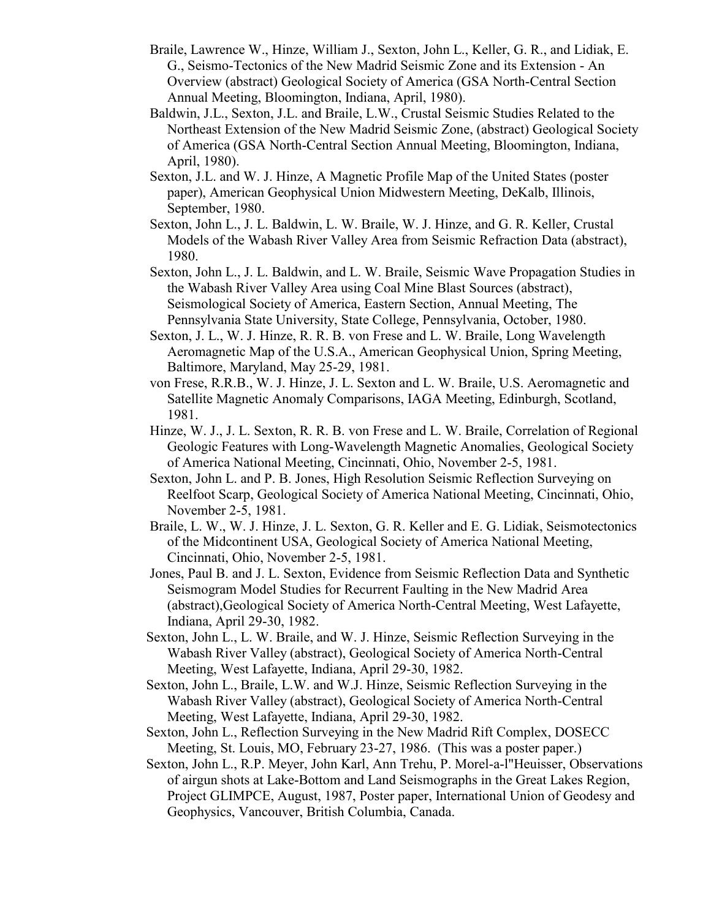- Braile, Lawrence W., Hinze, William J., Sexton, John L., Keller, G. R., and Lidiak, E. G., Seismo-Tectonics of the New Madrid Seismic Zone and its Extension - An Overview (abstract) Geological Society of America (GSA North-Central Section Annual Meeting, Bloomington, Indiana, April, 1980).
- Baldwin, J.L., Sexton, J.L. and Braile, L.W., Crustal Seismic Studies Related to the Northeast Extension of the New Madrid Seismic Zone, (abstract) Geological Society of America (GSA North-Central Section Annual Meeting, Bloomington, Indiana, April, 1980).
- Sexton, J.L. and W. J. Hinze, A Magnetic Profile Map of the United States (poster paper), American Geophysical Union Midwestern Meeting, DeKalb, Illinois, September, 1980.
- Sexton, John L., J. L. Baldwin, L. W. Braile, W. J. Hinze, and G. R. Keller, Crustal Models of the Wabash River Valley Area from Seismic Refraction Data (abstract), 1980.
- Sexton, John L., J. L. Baldwin, and L. W. Braile, Seismic Wave Propagation Studies in the Wabash River Valley Area using Coal Mine Blast Sources (abstract), Seismological Society of America, Eastern Section, Annual Meeting, The Pennsylvania State University, State College, Pennsylvania, October, 1980.
- Sexton, J. L., W. J. Hinze, R. R. B. von Frese and L. W. Braile, Long Wavelength Aeromagnetic Map of the U.S.A., American Geophysical Union, Spring Meeting, Baltimore, Maryland, May 25-29, 1981.
- von Frese, R.R.B., W. J. Hinze, J. L. Sexton and L. W. Braile, U.S. Aeromagnetic and Satellite Magnetic Anomaly Comparisons, IAGA Meeting, Edinburgh, Scotland, 1981.
- Hinze, W. J., J. L. Sexton, R. R. B. von Frese and L. W. Braile, Correlation of Regional Geologic Features with Long-Wavelength Magnetic Anomalies, Geological Society of America National Meeting, Cincinnati, Ohio, November 2-5, 1981.
- Sexton, John L. and P. B. Jones, High Resolution Seismic Reflection Surveying on Reelfoot Scarp, Geological Society of America National Meeting, Cincinnati, Ohio, November 2-5, 1981.
- Braile, L. W., W. J. Hinze, J. L. Sexton, G. R. Keller and E. G. Lidiak, Seismotectonics of the Midcontinent USA, Geological Society of America National Meeting, Cincinnati, Ohio, November 2-5, 1981.
- Jones, Paul B. and J. L. Sexton, Evidence from Seismic Reflection Data and Synthetic Seismogram Model Studies for Recurrent Faulting in the New Madrid Area (abstract),Geological Society of America North-Central Meeting, West Lafayette, Indiana, April 29-30, 1982.
- Sexton, John L., L. W. Braile, and W. J. Hinze, Seismic Reflection Surveying in the Wabash River Valley (abstract), Geological Society of America North-Central Meeting, West Lafayette, Indiana, April 29-30, 1982.
- Sexton, John L., Braile, L.W. and W.J. Hinze, Seismic Reflection Surveying in the Wabash River Valley (abstract), Geological Society of America North-Central Meeting, West Lafayette, Indiana, April 29-30, 1982.
- Sexton, John L., Reflection Surveying in the New Madrid Rift Complex, DOSECC Meeting, St. Louis, MO, February 23-27, 1986. (This was a poster paper.)
- Sexton, John L., R.P. Meyer, John Karl, Ann Trehu, P. Morel-a-l"Heuisser, Observations of airgun shots at Lake-Bottom and Land Seismographs in the Great Lakes Region, Project GLIMPCE, August, 1987, Poster paper, International Union of Geodesy and Geophysics, Vancouver, British Columbia, Canada.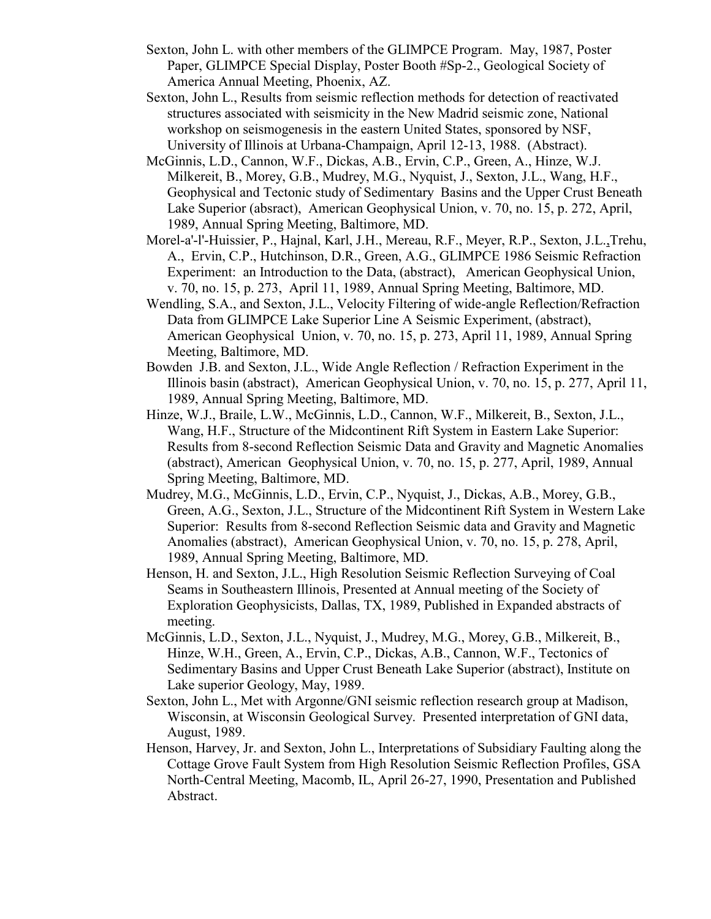- Sexton, John L. with other members of the GLIMPCE Program. May, 1987, Poster Paper, GLIMPCE Special Display, Poster Booth #Sp-2., Geological Society of America Annual Meeting, Phoenix, AZ.
- Sexton, John L., Results from seismic reflection methods for detection of reactivated structures associated with seismicity in the New Madrid seismic zone, National workshop on seismogenesis in the eastern United States, sponsored by NSF, University of Illinois at Urbana-Champaign, April 12-13, 1988. (Abstract).
- McGinnis, L.D., Cannon, W.F., Dickas, A.B., Ervin, C.P., Green, A., Hinze, W.J. Milkereit, B., Morey, G.B., Mudrey, M.G., Nyquist, J., Sexton, J.L., Wang, H.F., Geophysical and Tectonic study of Sedimentary Basins and the Upper Crust Beneath Lake Superior (absract), American Geophysical Union, v. 70, no. 15, p. 272, April, 1989, Annual Spring Meeting, Baltimore, MD.
- Morel-a'-l'-Huissier, P., Hajnal, Karl, J.H., Mereau, R.F., Meyer, R.P., Sexton, J.L.,Trehu, A., Ervin, C.P., Hutchinson, D.R., Green, A.G., GLIMPCE 1986 Seismic Refraction Experiment: an Introduction to the Data, (abstract), American Geophysical Union, v. 70, no. 15, p. 273, April 11, 1989, Annual Spring Meeting, Baltimore, MD.
- Wendling, S.A., and Sexton, J.L., Velocity Filtering of wide-angle Reflection/Refraction Data from GLIMPCE Lake Superior Line A Seismic Experiment, (abstract), American Geophysical Union, v. 70, no. 15, p. 273, April 11, 1989, Annual Spring Meeting, Baltimore, MD.
- Bowden J.B. and Sexton, J.L., Wide Angle Reflection / Refraction Experiment in the Illinois basin (abstract), American Geophysical Union, v. 70, no. 15, p. 277, April 11, 1989, Annual Spring Meeting, Baltimore, MD.
- Hinze, W.J., Braile, L.W., McGinnis, L.D., Cannon, W.F., Milkereit, B., Sexton, J.L., Wang, H.F., Structure of the Midcontinent Rift System in Eastern Lake Superior: Results from 8-second Reflection Seismic Data and Gravity and Magnetic Anomalies (abstract), American Geophysical Union, v. 70, no. 15, p. 277, April, 1989, Annual Spring Meeting, Baltimore, MD.
- Mudrey, M.G., McGinnis, L.D., Ervin, C.P., Nyquist, J., Dickas, A.B., Morey, G.B., Green, A.G., Sexton, J.L., Structure of the Midcontinent Rift System in Western Lake Superior: Results from 8-second Reflection Seismic data and Gravity and Magnetic Anomalies (abstract), American Geophysical Union, v. 70, no. 15, p. 278, April, 1989, Annual Spring Meeting, Baltimore, MD.
- Henson, H. and Sexton, J.L., High Resolution Seismic Reflection Surveying of Coal Seams in Southeastern Illinois, Presented at Annual meeting of the Society of Exploration Geophysicists, Dallas, TX, 1989, Published in Expanded abstracts of meeting.
- McGinnis, L.D., Sexton, J.L., Nyquist, J., Mudrey, M.G., Morey, G.B., Milkereit, B., Hinze, W.H., Green, A., Ervin, C.P., Dickas, A.B., Cannon, W.F., Tectonics of Sedimentary Basins and Upper Crust Beneath Lake Superior (abstract), Institute on Lake superior Geology, May, 1989.
- Sexton, John L., Met with Argonne/GNI seismic reflection research group at Madison, Wisconsin, at Wisconsin Geological Survey. Presented interpretation of GNI data, August, 1989.
- Henson, Harvey, Jr. and Sexton, John L., Interpretations of Subsidiary Faulting along the Cottage Grove Fault System from High Resolution Seismic Reflection Profiles, GSA North-Central Meeting, Macomb, IL, April 26-27, 1990, Presentation and Published Abstract.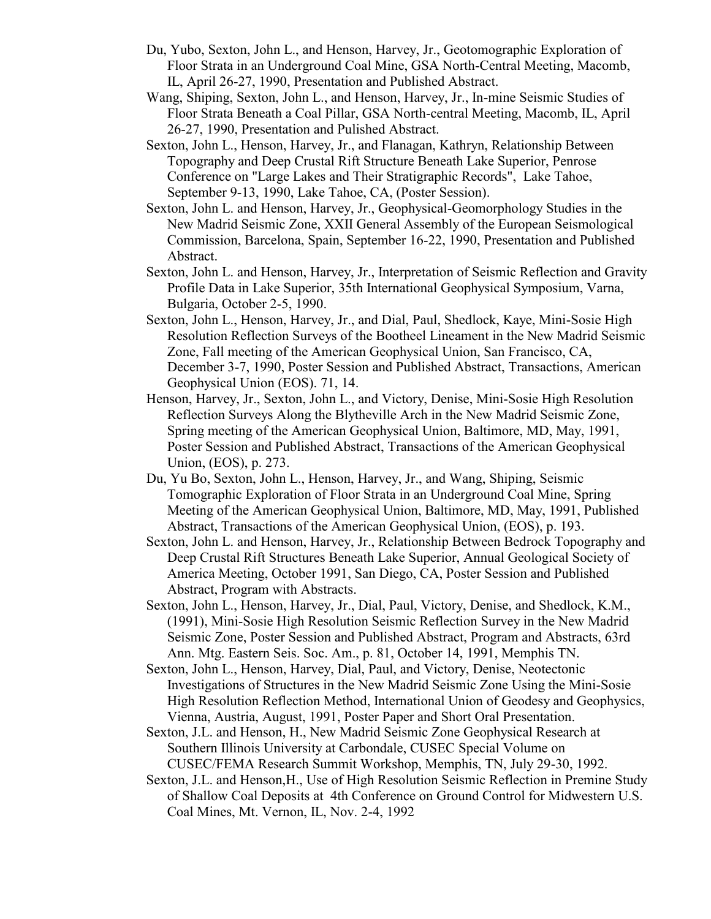- Du, Yubo, Sexton, John L., and Henson, Harvey, Jr., Geotomographic Exploration of Floor Strata in an Underground Coal Mine, GSA North-Central Meeting, Macomb, IL, April 26-27, 1990, Presentation and Published Abstract.
- Wang, Shiping, Sexton, John L., and Henson, Harvey, Jr., In-mine Seismic Studies of Floor Strata Beneath a Coal Pillar, GSA North-central Meeting, Macomb, IL, April 26-27, 1990, Presentation and Pulished Abstract.
- Sexton, John L., Henson, Harvey, Jr., and Flanagan, Kathryn, Relationship Between Topography and Deep Crustal Rift Structure Beneath Lake Superior, Penrose Conference on "Large Lakes and Their Stratigraphic Records", Lake Tahoe, September 9-13, 1990, Lake Tahoe, CA, (Poster Session).
- Sexton, John L. and Henson, Harvey, Jr., Geophysical-Geomorphology Studies in the New Madrid Seismic Zone, XXII General Assembly of the European Seismological Commission, Barcelona, Spain, September 16-22, 1990, Presentation and Published Abstract.
- Sexton, John L. and Henson, Harvey, Jr., Interpretation of Seismic Reflection and Gravity Profile Data in Lake Superior, 35th International Geophysical Symposium, Varna, Bulgaria, October 2-5, 1990.
- Sexton, John L., Henson, Harvey, Jr., and Dial, Paul, Shedlock, Kaye, Mini-Sosie High Resolution Reflection Surveys of the Bootheel Lineament in the New Madrid Seismic Zone, Fall meeting of the American Geophysical Union, San Francisco, CA, December 3-7, 1990, Poster Session and Published Abstract, Transactions, American Geophysical Union (EOS). 71, 14.
- Henson, Harvey, Jr., Sexton, John L., and Victory, Denise, Mini-Sosie High Resolution Reflection Surveys Along the Blytheville Arch in the New Madrid Seismic Zone, Spring meeting of the American Geophysical Union, Baltimore, MD, May, 1991, Poster Session and Published Abstract, Transactions of the American Geophysical Union, (EOS), p. 273.
- Du, Yu Bo, Sexton, John L., Henson, Harvey, Jr., and Wang, Shiping, Seismic Tomographic Exploration of Floor Strata in an Underground Coal Mine, Spring Meeting of the American Geophysical Union, Baltimore, MD, May, 1991, Published Abstract, Transactions of the American Geophysical Union, (EOS), p. 193.
- Sexton, John L. and Henson, Harvey, Jr., Relationship Between Bedrock Topography and Deep Crustal Rift Structures Beneath Lake Superior, Annual Geological Society of America Meeting, October 1991, San Diego, CA, Poster Session and Published Abstract, Program with Abstracts.
- Sexton, John L., Henson, Harvey, Jr., Dial, Paul, Victory, Denise, and Shedlock, K.M., (1991), Mini-Sosie High Resolution Seismic Reflection Survey in the New Madrid Seismic Zone, Poster Session and Published Abstract, Program and Abstracts, 63rd Ann. Mtg. Eastern Seis. Soc. Am., p. 81, October 14, 1991, Memphis TN.
- Sexton, John L., Henson, Harvey, Dial, Paul, and Victory, Denise, Neotectonic Investigations of Structures in the New Madrid Seismic Zone Using the Mini-Sosie High Resolution Reflection Method, International Union of Geodesy and Geophysics, Vienna, Austria, August, 1991, Poster Paper and Short Oral Presentation.
- Sexton, J.L. and Henson, H., New Madrid Seismic Zone Geophysical Research at Southern Illinois University at Carbondale, CUSEC Special Volume on CUSEC/FEMA Research Summit Workshop, Memphis, TN, July 29-30, 1992.
- Sexton, J.L. and Henson,H., Use of High Resolution Seismic Reflection in Premine Study of Shallow Coal Deposits at 4th Conference on Ground Control for Midwestern U.S. Coal Mines, Mt. Vernon, IL, Nov. 2-4, 1992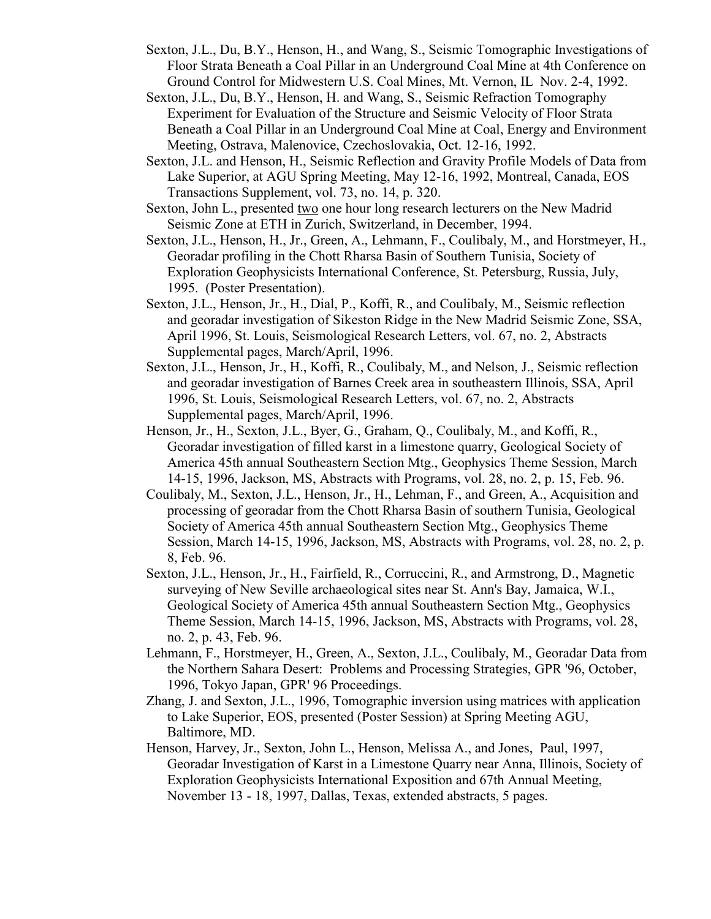- Sexton, J.L., Du, B.Y., Henson, H., and Wang, S., Seismic Tomographic Investigations of Floor Strata Beneath a Coal Pillar in an Underground Coal Mine at 4th Conference on Ground Control for Midwestern U.S. Coal Mines, Mt. Vernon, IL Nov. 2-4, 1992.
- Sexton, J.L., Du, B.Y., Henson, H. and Wang, S., Seismic Refraction Tomography Experiment for Evaluation of the Structure and Seismic Velocity of Floor Strata Beneath a Coal Pillar in an Underground Coal Mine at Coal, Energy and Environment Meeting, Ostrava, Malenovice, Czechoslovakia, Oct. 12-16, 1992.
- Sexton, J.L. and Henson, H., Seismic Reflection and Gravity Profile Models of Data from Lake Superior, at AGU Spring Meeting, May 12-16, 1992, Montreal, Canada, EOS Transactions Supplement, vol. 73, no. 14, p. 320.
- Sexton, John L., presented two one hour long research lecturers on the New Madrid Seismic Zone at ETH in Zurich, Switzerland, in December, 1994.
- Sexton, J.L., Henson, H., Jr., Green, A., Lehmann, F., Coulibaly, M., and Horstmeyer, H., Georadar profiling in the Chott Rharsa Basin of Southern Tunisia, Society of Exploration Geophysicists International Conference, St. Petersburg, Russia, July, 1995. (Poster Presentation).
- Sexton, J.L., Henson, Jr., H., Dial, P., Koffi, R., and Coulibaly, M., Seismic reflection and georadar investigation of Sikeston Ridge in the New Madrid Seismic Zone, SSA, April 1996, St. Louis, Seismological Research Letters, vol. 67, no. 2, Abstracts Supplemental pages, March/April, 1996.
- Sexton, J.L., Henson, Jr., H., Koffi, R., Coulibaly, M., and Nelson, J., Seismic reflection and georadar investigation of Barnes Creek area in southeastern Illinois, SSA, April 1996, St. Louis, Seismological Research Letters, vol. 67, no. 2, Abstracts Supplemental pages, March/April, 1996.
- Henson, Jr., H., Sexton, J.L., Byer, G., Graham, Q., Coulibaly, M., and Koffi, R., Georadar investigation of filled karst in a limestone quarry, Geological Society of America 45th annual Southeastern Section Mtg., Geophysics Theme Session, March 14-15, 1996, Jackson, MS, Abstracts with Programs, vol. 28, no. 2, p. 15, Feb. 96.
- Coulibaly, M., Sexton, J.L., Henson, Jr., H., Lehman, F., and Green, A., Acquisition and processing of georadar from the Chott Rharsa Basin of southern Tunisia, Geological Society of America 45th annual Southeastern Section Mtg., Geophysics Theme Session, March 14-15, 1996, Jackson, MS, Abstracts with Programs, vol. 28, no. 2, p. 8, Feb. 96.
- Sexton, J.L., Henson, Jr., H., Fairfield, R., Corruccini, R., and Armstrong, D., Magnetic surveying of New Seville archaeological sites near St. Ann's Bay, Jamaica, W.I., Geological Society of America 45th annual Southeastern Section Mtg., Geophysics Theme Session, March 14-15, 1996, Jackson, MS, Abstracts with Programs, vol. 28, no. 2, p. 43, Feb. 96.
- Lehmann, F., Horstmeyer, H., Green, A., Sexton, J.L., Coulibaly, M., Georadar Data from the Northern Sahara Desert: Problems and Processing Strategies, GPR '96, October, 1996, Tokyo Japan, GPR' 96 Proceedings.
- Zhang, J. and Sexton, J.L., 1996, Tomographic inversion using matrices with application to Lake Superior, EOS, presented (Poster Session) at Spring Meeting AGU, Baltimore, MD.
- Henson, Harvey, Jr., Sexton, John L., Henson, Melissa A., and Jones, Paul, 1997, Georadar Investigation of Karst in a Limestone Quarry near Anna, Illinois, Society of Exploration Geophysicists International Exposition and 67th Annual Meeting, November 13 - 18, 1997, Dallas, Texas, extended abstracts, 5 pages.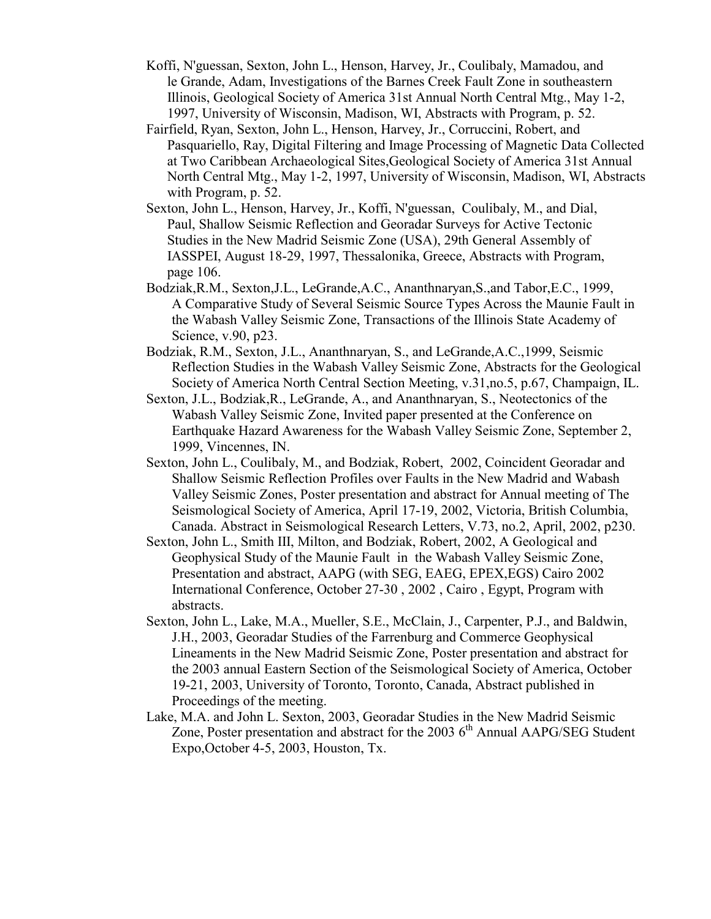- Koffi, N'guessan, Sexton, John L., Henson, Harvey, Jr., Coulibaly, Mamadou, and le Grande, Adam, Investigations of the Barnes Creek Fault Zone in southeastern Illinois, Geological Society of America 31st Annual North Central Mtg., May 1-2, 1997, University of Wisconsin, Madison, WI, Abstracts with Program, p. 52.
- Fairfield, Ryan, Sexton, John L., Henson, Harvey, Jr., Corruccini, Robert, and Pasquariello, Ray, Digital Filtering and Image Processing of Magnetic Data Collected at Two Caribbean Archaeological Sites,Geological Society of America 31st Annual North Central Mtg., May 1-2, 1997, University of Wisconsin, Madison, WI, Abstracts with Program, p. 52.
- Sexton, John L., Henson, Harvey, Jr., Koffi, N'guessan, Coulibaly, M., and Dial, Paul, Shallow Seismic Reflection and Georadar Surveys for Active Tectonic Studies in the New Madrid Seismic Zone (USA), 29th General Assembly of IASSPEI, August 18-29, 1997, Thessalonika, Greece, Abstracts with Program, page 106.
- Bodziak,R.M., Sexton,J.L., LeGrande,A.C., Ananthnaryan,S.,and Tabor,E.C., 1999, A Comparative Study of Several Seismic Source Types Across the Maunie Fault in the Wabash Valley Seismic Zone, Transactions of the Illinois State Academy of Science, v.90, p23.
- Bodziak, R.M., Sexton, J.L., Ananthnaryan, S., and LeGrande,A.C.,1999, Seismic Reflection Studies in the Wabash Valley Seismic Zone, Abstracts for the Geological Society of America North Central Section Meeting, v.31,no.5, p.67, Champaign, IL.
- Sexton, J.L., Bodziak,R., LeGrande, A., and Ananthnaryan, S., Neotectonics of the Wabash Valley Seismic Zone, Invited paper presented at the Conference on Earthquake Hazard Awareness for the Wabash Valley Seismic Zone, September 2, 1999, Vincennes, IN.
- Sexton, John L., Coulibaly, M., and Bodziak, Robert, 2002, Coincident Georadar and Shallow Seismic Reflection Profiles over Faults in the New Madrid and Wabash Valley Seismic Zones, Poster presentation and abstract for Annual meeting of The Seismological Society of America, April 17-19, 2002, Victoria, British Columbia, Canada. Abstract in Seismological Research Letters, V.73, no.2, April, 2002, p230.
- Sexton, John L., Smith III, Milton, and Bodziak, Robert, 2002, A Geological and Geophysical Study of the Maunie Fault in the Wabash Valley Seismic Zone, Presentation and abstract, AAPG (with SEG, EAEG, EPEX,EGS) Cairo 2002 International Conference, October 27-30 , 2002 , Cairo , Egypt, Program with abstracts.
- Sexton, John L., Lake, M.A., Mueller, S.E., McClain, J., Carpenter, P.J., and Baldwin, J.H., 2003, Georadar Studies of the Farrenburg and Commerce Geophysical Lineaments in the New Madrid Seismic Zone, Poster presentation and abstract for the 2003 annual Eastern Section of the Seismological Society of America, October 19-21, 2003, University of Toronto, Toronto, Canada, Abstract published in Proceedings of the meeting.
- Lake, M.A. and John L. Sexton, 2003, Georadar Studies in the New Madrid Seismic Zone, Poster presentation and abstract for the 2003  $6<sup>th</sup>$  Annual AAPG/SEG Student Expo,October 4-5, 2003, Houston, Tx.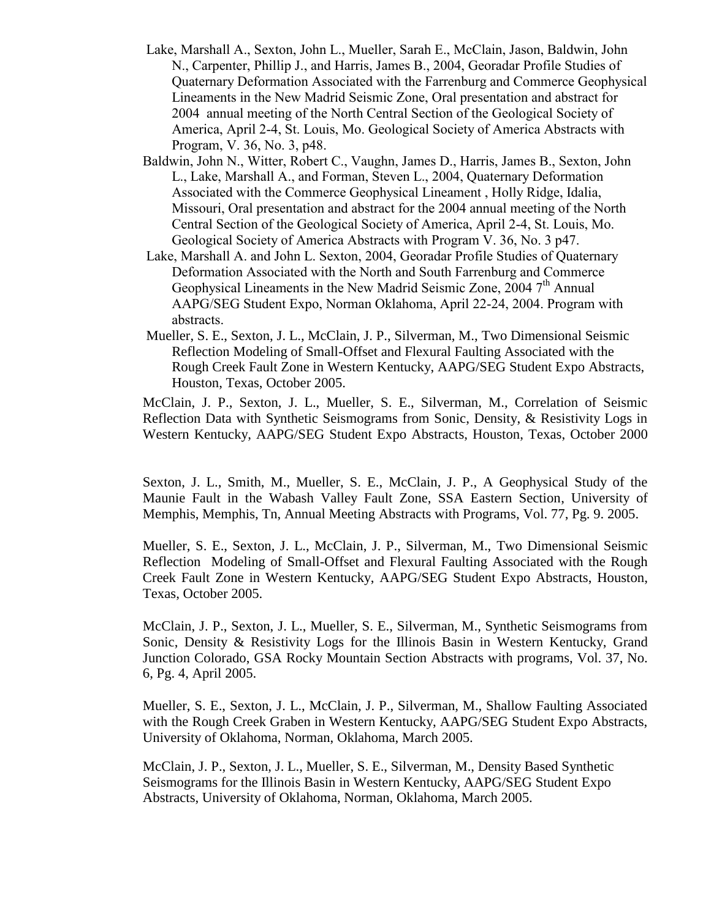- Lake, Marshall A., Sexton, John L., Mueller, Sarah E., McClain, Jason, Baldwin, John N., Carpenter, Phillip J., and Harris, James B., 2004, Georadar Profile Studies of Quaternary Deformation Associated with the Farrenburg and Commerce Geophysical Lineaments in the New Madrid Seismic Zone, Oral presentation and abstract for 2004 annual meeting of the North Central Section of the Geological Society of America, April 2-4, St. Louis, Mo. Geological Society of America Abstracts with Program, V. 36, No. 3, p48.
- Baldwin, John N., Witter, Robert C., Vaughn, James D., Harris, James B., Sexton, John L., Lake, Marshall A., and Forman, Steven L., 2004, Quaternary Deformation Associated with the Commerce Geophysical Lineament , Holly Ridge, Idalia, Missouri, Oral presentation and abstract for the 2004 annual meeting of the North Central Section of the Geological Society of America, April 2-4, St. Louis, Mo. Geological Society of America Abstracts with Program V. 36, No. 3 p47.
- Lake, Marshall A. and John L. Sexton, 2004, Georadar Profile Studies of Quaternary Deformation Associated with the North and South Farrenburg and Commerce Geophysical Lineaments in the New Madrid Seismic Zone,  $2004$   $7<sup>th</sup>$  Annual AAPG/SEG Student Expo, Norman Oklahoma, April 22-24, 2004. Program with abstracts.
- Mueller, S. E., Sexton, J. L., McClain, J. P., Silverman, M., Two Dimensional Seismic Reflection Modeling of Small-Offset and Flexural Faulting Associated with the Rough Creek Fault Zone in Western Kentucky, AAPG/SEG Student Expo Abstracts, Houston, Texas, October 2005.

McClain, J. P., Sexton, J. L., Mueller, S. E., Silverman, M., Correlation of Seismic Reflection Data with Synthetic Seismograms from Sonic, Density, & Resistivity Logs in Western Kentucky, AAPG/SEG Student Expo Abstracts, Houston, Texas, October 2000

Sexton, J. L., Smith, M., Mueller, S. E., McClain, J. P., A Geophysical Study of the Maunie Fault in the Wabash Valley Fault Zone, SSA Eastern Section, University of Memphis, Memphis, Tn, Annual Meeting Abstracts with Programs, Vol. 77, Pg. 9. 2005.

Mueller, S. E., Sexton, J. L., McClain, J. P., Silverman, M., Two Dimensional Seismic Reflection Modeling of Small-Offset and Flexural Faulting Associated with the Rough Creek Fault Zone in Western Kentucky, AAPG/SEG Student Expo Abstracts, Houston, Texas, October 2005.

McClain, J. P., Sexton, J. L., Mueller, S. E., Silverman, M., Synthetic Seismograms from Sonic, Density & Resistivity Logs for the Illinois Basin in Western Kentucky, Grand Junction Colorado, GSA Rocky Mountain Section Abstracts with programs, Vol. 37, No. 6, Pg. 4, April 2005.

Mueller, S. E., Sexton, J. L., McClain, J. P., Silverman, M., Shallow Faulting Associated with the Rough Creek Graben in Western Kentucky, AAPG/SEG Student Expo Abstracts, University of Oklahoma, Norman, Oklahoma, March 2005.

McClain, J. P., Sexton, J. L., Mueller, S. E., Silverman, M., Density Based Synthetic Seismograms for the Illinois Basin in Western Kentucky, AAPG/SEG Student Expo Abstracts, University of Oklahoma, Norman, Oklahoma, March 2005.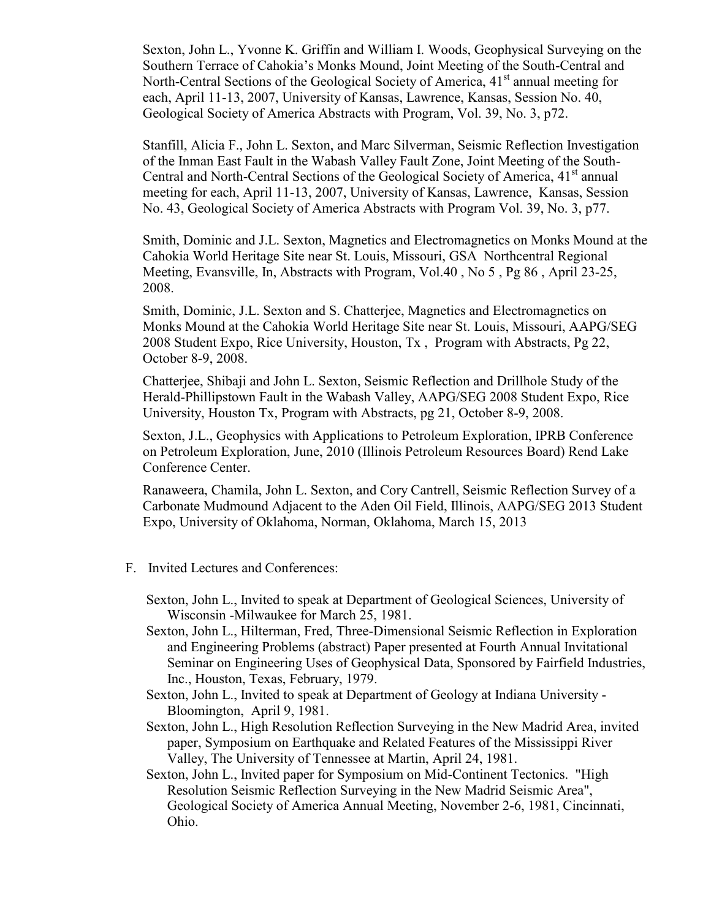Sexton, John L., Yvonne K. Griffin and William I. Woods, Geophysical Surveying on the Southern Terrace of Cahokia's Monks Mound, Joint Meeting of the South-Central and North-Central Sections of the Geological Society of America, 41<sup>st</sup> annual meeting for each, April 11-13, 2007, University of Kansas, Lawrence, Kansas, Session No. 40, Geological Society of America Abstracts with Program, Vol. 39, No. 3, p72.

Stanfill, Alicia F., John L. Sexton, and Marc Silverman, Seismic Reflection Investigation of the Inman East Fault in the Wabash Valley Fault Zone, Joint Meeting of the South-Central and North-Central Sections of the Geological Society of America, 41<sup>st</sup> annual meeting for each, April 11-13, 2007, University of Kansas, Lawrence, Kansas, Session No. 43, Geological Society of America Abstracts with Program Vol. 39, No. 3, p77.

Smith, Dominic and J.L. Sexton, Magnetics and Electromagnetics on Monks Mound at the Cahokia World Heritage Site near St. Louis, Missouri, GSA Northcentral Regional Meeting, Evansville, In, Abstracts with Program, Vol.40 , No 5 , Pg 86 , April 23-25, 2008.

Smith, Dominic, J.L. Sexton and S. Chatterjee, Magnetics and Electromagnetics on Monks Mound at the Cahokia World Heritage Site near St. Louis, Missouri, AAPG/SEG 2008 Student Expo, Rice University, Houston, Tx , Program with Abstracts, Pg 22, October 8-9, 2008.

Chatterjee, Shibaji and John L. Sexton, Seismic Reflection and Drillhole Study of the Herald-Phillipstown Fault in the Wabash Valley, AAPG/SEG 2008 Student Expo, Rice University, Houston Tx, Program with Abstracts, pg 21, October 8-9, 2008.

Sexton, J.L., Geophysics with Applications to Petroleum Exploration, IPRB Conference on Petroleum Exploration, June, 2010 (Illinois Petroleum Resources Board) Rend Lake Conference Center.

Ranaweera, Chamila, John L. Sexton, and Cory Cantrell, Seismic Reflection Survey of a Carbonate Mudmound Adjacent to the Aden Oil Field, Illinois, AAPG/SEG 2013 Student Expo, University of Oklahoma, Norman, Oklahoma, March 15, 2013

- F. Invited Lectures and Conferences:
	- Sexton, John L., Invited to speak at Department of Geological Sciences, University of Wisconsin -Milwaukee for March 25, 1981.
	- Sexton, John L., Hilterman, Fred, Three-Dimensional Seismic Reflection in Exploration and Engineering Problems (abstract) Paper presented at Fourth Annual Invitational Seminar on Engineering Uses of Geophysical Data, Sponsored by Fairfield Industries, Inc., Houston, Texas, February, 1979.
	- Sexton, John L., Invited to speak at Department of Geology at Indiana University Bloomington, April 9, 1981.
	- Sexton, John L., High Resolution Reflection Surveying in the New Madrid Area, invited paper, Symposium on Earthquake and Related Features of the Mississippi River Valley, The University of Tennessee at Martin, April 24, 1981.
	- Sexton, John L., Invited paper for Symposium on Mid-Continent Tectonics. "High Resolution Seismic Reflection Surveying in the New Madrid Seismic Area", Geological Society of America Annual Meeting, November 2-6, 1981, Cincinnati, Ohio.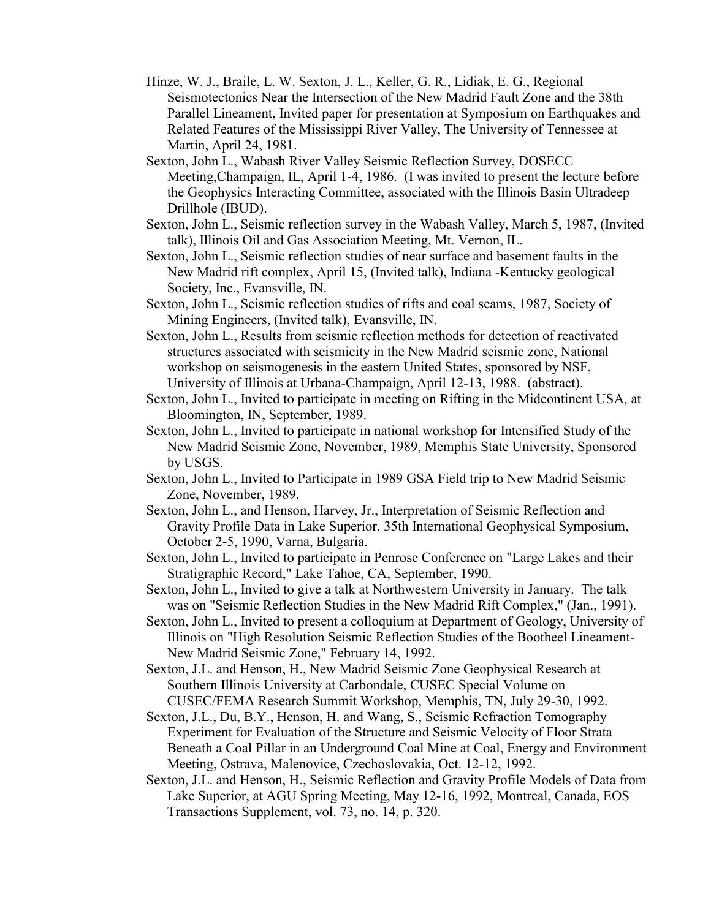- Hinze, W. J., Braile, L. W. Sexton, J. L., Keller, G. R., Lidiak, E. G., Regional Seismotectonics Near the Intersection of the New Madrid Fault Zone and the 38th Parallel Lineament, Invited paper for presentation at Symposium on Earthquakes and Related Features of the Mississippi River Valley, The University of Tennessee at Martin, April 24, 1981.
- Sexton, John L., Wabash River Valley Seismic Reflection Survey, DOSECC Meeting,Champaign, IL, April 1-4, 1986. (I was invited to present the lecture before the Geophysics Interacting Committee, associated with the Illinois Basin Ultradeep Drillhole (IBUD).
- Sexton, John L., Seismic reflection survey in the Wabash Valley, March 5, 1987, (Invited talk), Illinois Oil and Gas Association Meeting, Mt. Vernon, IL.
- Sexton, John L., Seismic reflection studies of near surface and basement faults in the New Madrid rift complex, April 15, (Invited talk), Indiana -Kentucky geological Society, Inc., Evansville, IN.
- Sexton, John L., Seismic reflection studies of rifts and coal seams, 1987, Society of Mining Engineers, (Invited talk), Evansville, IN.
- Sexton, John L., Results from seismic reflection methods for detection of reactivated structures associated with seismicity in the New Madrid seismic zone, National workshop on seismogenesis in the eastern United States, sponsored by NSF, University of Illinois at Urbana-Champaign, April 12-13, 1988. (abstract).
- Sexton, John L., Invited to participate in meeting on Rifting in the Midcontinent USA, at Bloomington, IN, September, 1989.
- Sexton, John L., Invited to participate in national workshop for Intensified Study of the New Madrid Seismic Zone, November, 1989, Memphis State University, Sponsored by USGS.
- Sexton, John L., Invited to Participate in 1989 GSA Field trip to New Madrid Seismic Zone, November, 1989.
- Sexton, John L., and Henson, Harvey, Jr., Interpretation of Seismic Reflection and Gravity Profile Data in Lake Superior, 35th International Geophysical Symposium, October 2-5, 1990, Varna, Bulgaria.
- Sexton, John L., Invited to participate in Penrose Conference on "Large Lakes and their Stratigraphic Record," Lake Tahoe, CA, September, 1990.
- Sexton, John L., Invited to give a talk at Northwestern University in January. The talk was on "Seismic Reflection Studies in the New Madrid Rift Complex," (Jan., 1991).
- Sexton, John L., Invited to present a colloquium at Department of Geology, University of Illinois on "High Resolution Seismic Reflection Studies of the Bootheel Lineament-New Madrid Seismic Zone," February 14, 1992.
- Sexton, J.L. and Henson, H., New Madrid Seismic Zone Geophysical Research at Southern Illinois University at Carbondale, CUSEC Special Volume on CUSEC/FEMA Research Summit Workshop, Memphis, TN, July 29-30, 1992.
- Sexton, J.L., Du, B.Y., Henson, H. and Wang, S., Seismic Refraction Tomography Experiment for Evaluation of the Structure and Seismic Velocity of Floor Strata Beneath a Coal Pillar in an Underground Coal Mine at Coal, Energy and Environment Meeting, Ostrava, Malenovice, Czechoslovakia, Oct. 12-12, 1992.
- Sexton, J.L. and Henson, H., Seismic Reflection and Gravity Profile Models of Data from Lake Superior, at AGU Spring Meeting, May 12-16, 1992, Montreal, Canada, EOS Transactions Supplement, vol. 73, no. 14, p. 320.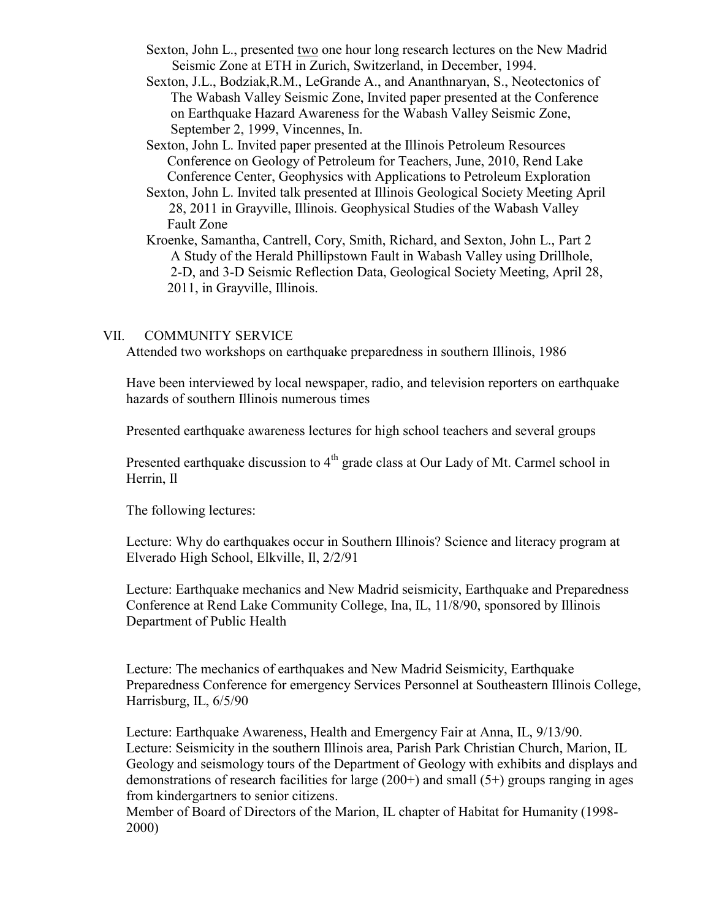- Sexton, John L., presented two one hour long research lectures on the New Madrid Seismic Zone at ETH in Zurich, Switzerland, in December, 1994.
- Sexton, J.L., Bodziak,R.M., LeGrande A., and Ananthnaryan, S., Neotectonics of The Wabash Valley Seismic Zone, Invited paper presented at the Conference on Earthquake Hazard Awareness for the Wabash Valley Seismic Zone, September 2, 1999, Vincennes, In.
- Sexton, John L. Invited paper presented at the Illinois Petroleum Resources Conference on Geology of Petroleum for Teachers, June, 2010, Rend Lake Conference Center, Geophysics with Applications to Petroleum Exploration
- Sexton, John L. Invited talk presented at Illinois Geological Society Meeting April 28, 2011 in Grayville, Illinois. Geophysical Studies of the Wabash Valley Fault Zone
- Kroenke, Samantha, Cantrell, Cory, Smith, Richard, and Sexton, John L., Part 2 A Study of the Herald Phillipstown Fault in Wabash Valley using Drillhole, 2-D, and 3-D Seismic Reflection Data, Geological Society Meeting, April 28, 2011, in Grayville, Illinois.

#### VII. COMMUNITY SERVICE

Attended two workshops on earthquake preparedness in southern Illinois, 1986

Have been interviewed by local newspaper, radio, and television reporters on earthquake hazards of southern Illinois numerous times

Presented earthquake awareness lectures for high school teachers and several groups

Presented earthquake discussion to 4<sup>th</sup> grade class at Our Lady of Mt. Carmel school in Herrin, Il

The following lectures:

Lecture: Why do earthquakes occur in Southern Illinois? Science and literacy program at Elverado High School, Elkville, Il, 2/2/91

Lecture: Earthquake mechanics and New Madrid seismicity, Earthquake and Preparedness Conference at Rend Lake Community College, Ina, IL, 11/8/90, sponsored by Illinois Department of Public Health

Lecture: The mechanics of earthquakes and New Madrid Seismicity, Earthquake Preparedness Conference for emergency Services Personnel at Southeastern Illinois College, Harrisburg, IL, 6/5/90

Lecture: Earthquake Awareness, Health and Emergency Fair at Anna, IL, 9/13/90. Lecture: Seismicity in the southern Illinois area, Parish Park Christian Church, Marion, IL Geology and seismology tours of the Department of Geology with exhibits and displays and demonstrations of research facilities for large  $(200+)$  and small  $(5+)$  groups ranging in ages from kindergartners to senior citizens.

Member of Board of Directors of the Marion, IL chapter of Habitat for Humanity (1998- 2000)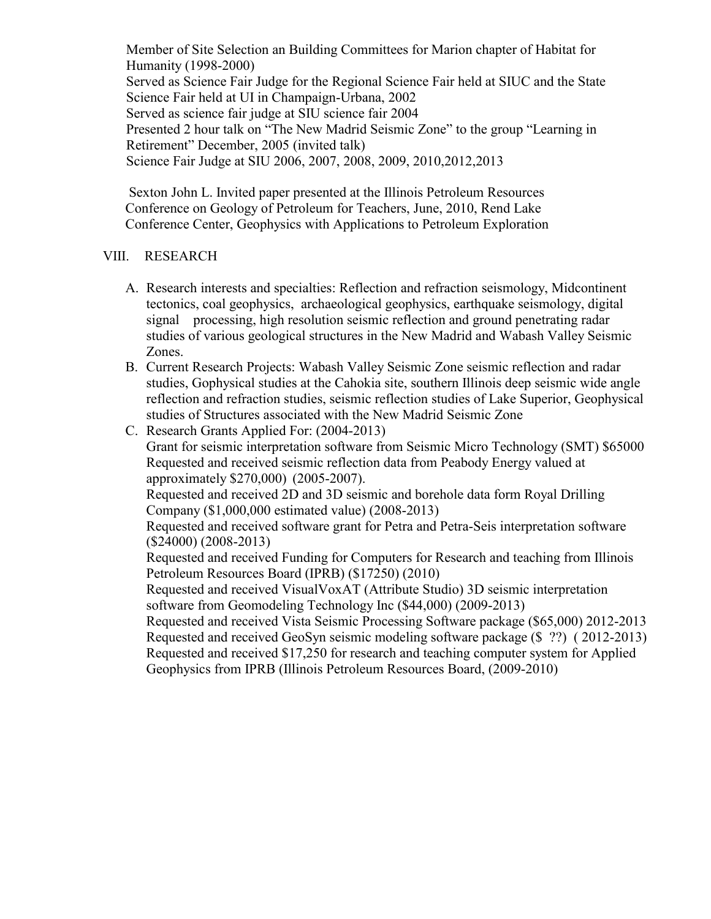Member of Site Selection an Building Committees for Marion chapter of Habitat for Humanity (1998-2000) Served as Science Fair Judge for the Regional Science Fair held at SIUC and the State Science Fair held at UI in Champaign-Urbana, 2002 Served as science fair judge at SIU science fair 2004 Presented 2 hour talk on "The New Madrid Seismic Zone" to the group "Learning in Retirement" December, 2005 (invited talk) Science Fair Judge at SIU 2006, 2007, 2008, 2009, 2010,2012,2013

Sexton John L. Invited paper presented at the Illinois Petroleum Resources Conference on Geology of Petroleum for Teachers, June, 2010, Rend Lake Conference Center, Geophysics with Applications to Petroleum Exploration

## VIII. RESEARCH

- A. Research interests and specialties: Reflection and refraction seismology, Midcontinent tectonics, coal geophysics, archaeological geophysics, earthquake seismology, digital signal processing, high resolution seismic reflection and ground penetrating radar studies of various geological structures in the New Madrid and Wabash Valley Seismic Zones.
- B. Current Research Projects: Wabash Valley Seismic Zone seismic reflection and radar studies, Gophysical studies at the Cahokia site, southern Illinois deep seismic wide angle reflection and refraction studies, seismic reflection studies of Lake Superior, Geophysical studies of Structures associated with the New Madrid Seismic Zone
- C. Research Grants Applied For: (2004-2013) Grant for seismic interpretation software from Seismic Micro Technology (SMT) \$65000 Requested and received seismic reflection data from Peabody Energy valued at approximately \$270,000) (2005-2007). Requested and received 2D and 3D seismic and borehole data form Royal Drilling Company (\$1,000,000 estimated value) (2008-2013) Requested and received software grant for Petra and Petra-Seis interpretation software (\$24000) (2008-2013) Requested and received Funding for Computers for Research and teaching from Illinois Petroleum Resources Board (IPRB) (\$17250) (2010) Requested and received VisualVoxAT (Attribute Studio) 3D seismic interpretation software from Geomodeling Technology Inc (\$44,000) (2009-2013) Requested and received Vista Seismic Processing Software package (\$65,000) 2012-2013 Requested and received GeoSyn seismic modeling software package (\$ ??) ( 2012-2013) Requested and received \$17,250 for research and teaching computer system for Applied Geophysics from IPRB (Illinois Petroleum Resources Board, (2009-2010)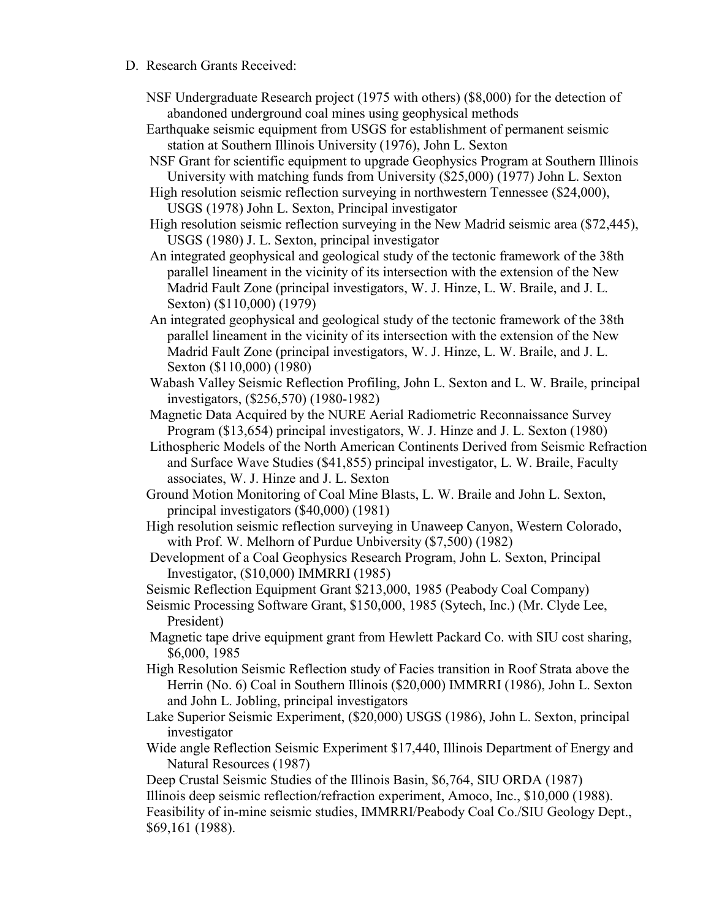- D. Research Grants Received:
	- NSF Undergraduate Research project (1975 with others) (\$8,000) for the detection of abandoned underground coal mines using geophysical methods
	- Earthquake seismic equipment from USGS for establishment of permanent seismic station at Southern Illinois University (1976), John L. Sexton
	- NSF Grant for scientific equipment to upgrade Geophysics Program at Southern Illinois University with matching funds from University (\$25,000) (1977) John L. Sexton
	- High resolution seismic reflection surveying in northwestern Tennessee (\$24,000), USGS (1978) John L. Sexton, Principal investigator
	- High resolution seismic reflection surveying in the New Madrid seismic area (\$72,445), USGS (1980) J. L. Sexton, principal investigator
	- An integrated geophysical and geological study of the tectonic framework of the 38th parallel lineament in the vicinity of its intersection with the extension of the New Madrid Fault Zone (principal investigators, W. J. Hinze, L. W. Braile, and J. L. Sexton) (\$110,000) (1979)
	- An integrated geophysical and geological study of the tectonic framework of the 38th parallel lineament in the vicinity of its intersection with the extension of the New Madrid Fault Zone (principal investigators, W. J. Hinze, L. W. Braile, and J. L. Sexton (\$110,000) (1980)
	- Wabash Valley Seismic Reflection Profiling, John L. Sexton and L. W. Braile, principal investigators, (\$256,570) (1980-1982)
	- Magnetic Data Acquired by the NURE Aerial Radiometric Reconnaissance Survey Program (\$13,654) principal investigators, W. J. Hinze and J. L. Sexton (1980)
	- Lithospheric Models of the North American Continents Derived from Seismic Refraction and Surface Wave Studies (\$41,855) principal investigator, L. W. Braile, Faculty associates, W. J. Hinze and J. L. Sexton
	- Ground Motion Monitoring of Coal Mine Blasts, L. W. Braile and John L. Sexton, principal investigators (\$40,000) (1981)
	- High resolution seismic reflection surveying in Unaweep Canyon, Western Colorado, with Prof. W. Melhorn of Purdue Unbiversity (\$7,500) (1982)
	- Development of a Coal Geophysics Research Program, John L. Sexton, Principal Investigator, (\$10,000) IMMRRI (1985)

Seismic Reflection Equipment Grant \$213,000, 1985 (Peabody Coal Company)

- Seismic Processing Software Grant, \$150,000, 1985 (Sytech, Inc.) (Mr. Clyde Lee, President)
- Magnetic tape drive equipment grant from Hewlett Packard Co. with SIU cost sharing, \$6,000, 1985
- High Resolution Seismic Reflection study of Facies transition in Roof Strata above the Herrin (No. 6) Coal in Southern Illinois (\$20,000) IMMRRI (1986), John L. Sexton and John L. Jobling, principal investigators
- Lake Superior Seismic Experiment, (\$20,000) USGS (1986), John L. Sexton, principal investigator
- Wide angle Reflection Seismic Experiment \$17,440, Illinois Department of Energy and Natural Resources (1987)

Deep Crustal Seismic Studies of the Illinois Basin, \$6,764, SIU ORDA (1987) Illinois deep seismic reflection/refraction experiment, Amoco, Inc., \$10,000 (1988). Feasibility of in-mine seismic studies, IMMRRI/Peabody Coal Co./SIU Geology Dept., \$69,161 (1988).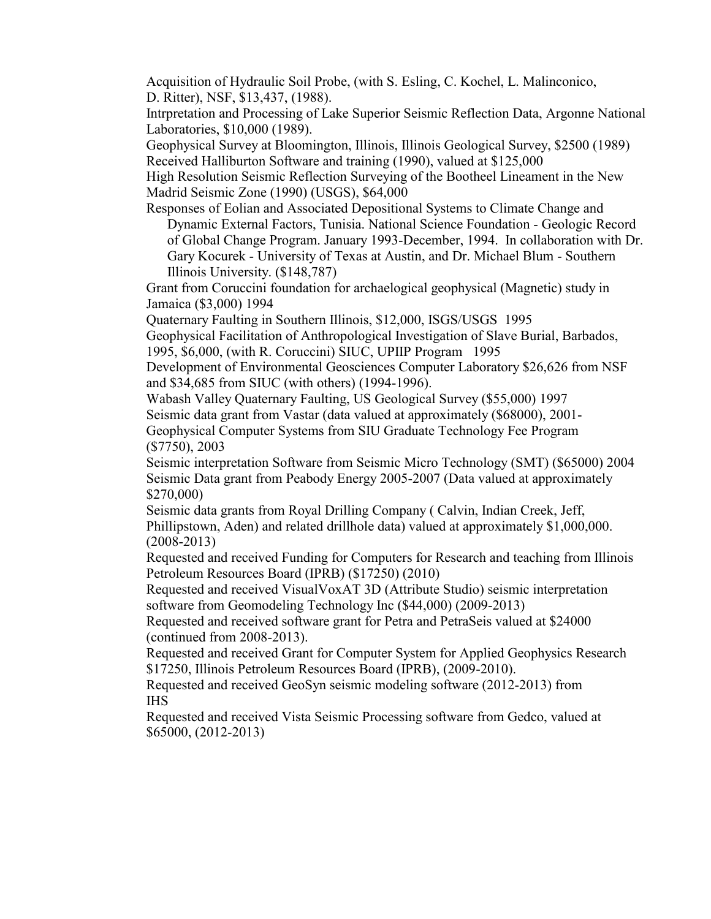Acquisition of Hydraulic Soil Probe, (with S. Esling, C. Kochel, L. Malinconico, D. Ritter), NSF, \$13,437, (1988).

Intrpretation and Processing of Lake Superior Seismic Reflection Data, Argonne National Laboratories, \$10,000 (1989).

Geophysical Survey at Bloomington, Illinois, Illinois Geological Survey, \$2500 (1989) Received Halliburton Software and training (1990), valued at \$125,000

High Resolution Seismic Reflection Surveying of the Bootheel Lineament in the New Madrid Seismic Zone (1990) (USGS), \$64,000

Responses of Eolian and Associated Depositional Systems to Climate Change and Dynamic External Factors, Tunisia. National Science Foundation - Geologic Record of Global Change Program. January 1993-December, 1994. In collaboration with Dr. Gary Kocurek - University of Texas at Austin, and Dr. Michael Blum - Southern Illinois University. (\$148,787)

Grant from Coruccini foundation for archaelogical geophysical (Magnetic) study in Jamaica (\$3,000) 1994

Quaternary Faulting in Southern Illinois, \$12,000, ISGS/USGS 1995

Geophysical Facilitation of Anthropological Investigation of Slave Burial, Barbados, 1995, \$6,000, (with R. Coruccini) SIUC, UPIIP Program 1995

Development of Environmental Geosciences Computer Laboratory \$26,626 from NSF and \$34,685 from SIUC (with others) (1994-1996).

Wabash Valley Quaternary Faulting, US Geological Survey (\$55,000) 1997 Seismic data grant from Vastar (data valued at approximately (\$68000), 2001- Geophysical Computer Systems from SIU Graduate Technology Fee Program (\$7750), 2003

Seismic interpretation Software from Seismic Micro Technology (SMT) (\$65000) 2004 Seismic Data grant from Peabody Energy 2005-2007 (Data valued at approximately \$270,000)

Seismic data grants from Royal Drilling Company ( Calvin, Indian Creek, Jeff, Phillipstown, Aden) and related drillhole data) valued at approximately \$1,000,000. (2008-2013)

Requested and received Funding for Computers for Research and teaching from Illinois Petroleum Resources Board (IPRB) (\$17250) (2010)

Requested and received VisualVoxAT 3D (Attribute Studio) seismic interpretation software from Geomodeling Technology Inc (\$44,000) (2009-2013)

Requested and received software grant for Petra and PetraSeis valued at \$24000 (continued from 2008-2013).

Requested and received Grant for Computer System for Applied Geophysics Research \$17250, Illinois Petroleum Resources Board (IPRB), (2009-2010).

Requested and received GeoSyn seismic modeling software (2012-2013) from IHS

Requested and received Vista Seismic Processing software from Gedco, valued at \$65000, (2012-2013)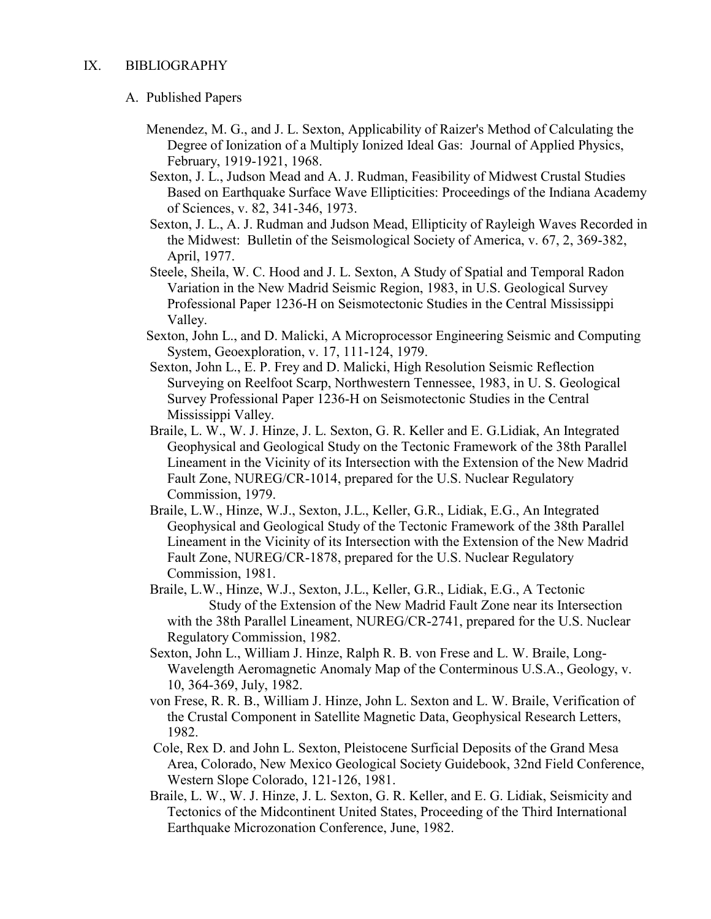### A. Published Papers

- Menendez, M. G., and J. L. Sexton, Applicability of Raizer's Method of Calculating the Degree of Ionization of a Multiply Ionized Ideal Gas: Journal of Applied Physics, February, 1919-1921, 1968.
- Sexton, J. L., Judson Mead and A. J. Rudman, Feasibility of Midwest Crustal Studies Based on Earthquake Surface Wave Ellipticities: Proceedings of the Indiana Academy of Sciences, v. 82, 341-346, 1973.
- Sexton, J. L., A. J. Rudman and Judson Mead, Ellipticity of Rayleigh Waves Recorded in the Midwest: Bulletin of the Seismological Society of America, v. 67, 2, 369-382, April, 1977.
- Steele, Sheila, W. C. Hood and J. L. Sexton, A Study of Spatial and Temporal Radon Variation in the New Madrid Seismic Region, 1983, in U.S. Geological Survey Professional Paper 1236-H on Seismotectonic Studies in the Central Mississippi Valley.
- Sexton, John L., and D. Malicki, A Microprocessor Engineering Seismic and Computing System, Geoexploration, v. 17, 111-124, 1979.
- Sexton, John L., E. P. Frey and D. Malicki, High Resolution Seismic Reflection Surveying on Reelfoot Scarp, Northwestern Tennessee, 1983, in U. S. Geological Survey Professional Paper 1236-H on Seismotectonic Studies in the Central Mississippi Valley.
- Braile, L. W., W. J. Hinze, J. L. Sexton, G. R. Keller and E. G.Lidiak, An Integrated Geophysical and Geological Study on the Tectonic Framework of the 38th Parallel Lineament in the Vicinity of its Intersection with the Extension of the New Madrid Fault Zone, NUREG/CR-1014, prepared for the U.S. Nuclear Regulatory Commission, 1979.
- Braile, L.W., Hinze, W.J., Sexton, J.L., Keller, G.R., Lidiak, E.G., An Integrated Geophysical and Geological Study of the Tectonic Framework of the 38th Parallel Lineament in the Vicinity of its Intersection with the Extension of the New Madrid Fault Zone, NUREG/CR-1878, prepared for the U.S. Nuclear Regulatory Commission, 1981.
- Braile, L.W., Hinze, W.J., Sexton, J.L., Keller, G.R., Lidiak, E.G., A Tectonic Study of the Extension of the New Madrid Fault Zone near its Intersection with the 38th Parallel Lineament, NUREG/CR-2741, prepared for the U.S. Nuclear Regulatory Commission, 1982.
- Sexton, John L., William J. Hinze, Ralph R. B. von Frese and L. W. Braile, Long-Wavelength Aeromagnetic Anomaly Map of the Conterminous U.S.A., Geology, v. 10, 364-369, July, 1982.
- von Frese, R. R. B., William J. Hinze, John L. Sexton and L. W. Braile, Verification of the Crustal Component in Satellite Magnetic Data, Geophysical Research Letters, 1982.
- Cole, Rex D. and John L. Sexton, Pleistocene Surficial Deposits of the Grand Mesa Area, Colorado, New Mexico Geological Society Guidebook, 32nd Field Conference, Western Slope Colorado, 121-126, 1981.
- Braile, L. W., W. J. Hinze, J. L. Sexton, G. R. Keller, and E. G. Lidiak, Seismicity and Tectonics of the Midcontinent United States, Proceeding of the Third International Earthquake Microzonation Conference, June, 1982.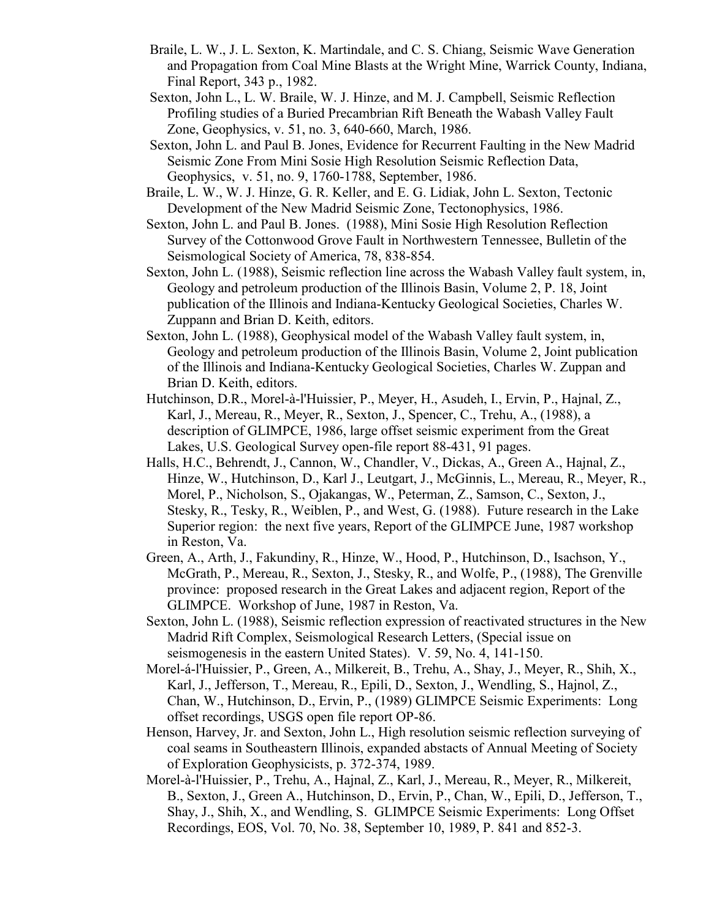- Braile, L. W., J. L. Sexton, K. Martindale, and C. S. Chiang, Seismic Wave Generation and Propagation from Coal Mine Blasts at the Wright Mine, Warrick County, Indiana, Final Report, 343 p., 1982.
- Sexton, John L., L. W. Braile, W. J. Hinze, and M. J. Campbell, Seismic Reflection Profiling studies of a Buried Precambrian Rift Beneath the Wabash Valley Fault Zone, Geophysics, v. 51, no. 3, 640-660, March, 1986.
- Sexton, John L. and Paul B. Jones, Evidence for Recurrent Faulting in the New Madrid Seismic Zone From Mini Sosie High Resolution Seismic Reflection Data, Geophysics, v. 51, no. 9, 1760-1788, September, 1986.
- Braile, L. W., W. J. Hinze, G. R. Keller, and E. G. Lidiak, John L. Sexton, Tectonic Development of the New Madrid Seismic Zone, Tectonophysics, 1986.
- Sexton, John L. and Paul B. Jones. (1988), Mini Sosie High Resolution Reflection Survey of the Cottonwood Grove Fault in Northwestern Tennessee, Bulletin of the Seismological Society of America, 78, 838-854.
- Sexton, John L. (1988), Seismic reflection line across the Wabash Valley fault system, in, Geology and petroleum production of the Illinois Basin, Volume 2, P. 18, Joint publication of the Illinois and Indiana-Kentucky Geological Societies, Charles W. Zuppann and Brian D. Keith, editors.
- Sexton, John L. (1988), Geophysical model of the Wabash Valley fault system, in, Geology and petroleum production of the Illinois Basin, Volume 2, Joint publication of the Illinois and Indiana-Kentucky Geological Societies, Charles W. Zuppan and Brian D. Keith, editors.
- Hutchinson, D.R., Morel-à-l'Huissier, P., Meyer, H., Asudeh, I., Ervin, P., Hajnal, Z., Karl, J., Mereau, R., Meyer, R., Sexton, J., Spencer, C., Trehu, A., (1988), a description of GLIMPCE, 1986, large offset seismic experiment from the Great Lakes, U.S. Geological Survey open-file report 88-431, 91 pages.
- Halls, H.C., Behrendt, J., Cannon, W., Chandler, V., Dickas, A., Green A., Hajnal, Z., Hinze, W., Hutchinson, D., Karl J., Leutgart, J., McGinnis, L., Mereau, R., Meyer, R., Morel, P., Nicholson, S., Ojakangas, W., Peterman, Z., Samson, C., Sexton, J., Stesky, R., Tesky, R., Weiblen, P., and West, G. (1988). Future research in the Lake Superior region: the next five years, Report of the GLIMPCE June, 1987 workshop in Reston, Va.
- Green, A., Arth, J., Fakundiny, R., Hinze, W., Hood, P., Hutchinson, D., Isachson, Y., McGrath, P., Mereau, R., Sexton, J., Stesky, R., and Wolfe, P., (1988), The Grenville province: proposed research in the Great Lakes and adjacent region, Report of the GLIMPCE. Workshop of June, 1987 in Reston, Va.
- Sexton, John L. (1988), Seismic reflection expression of reactivated structures in the New Madrid Rift Complex, Seismological Research Letters, (Special issue on seismogenesis in the eastern United States). V. 59, No. 4, 141-150.
- Morel-á-l'Huissier, P., Green, A., Milkereit, B., Trehu, A., Shay, J., Meyer, R., Shih, X., Karl, J., Jefferson, T., Mereau, R., Epili, D., Sexton, J., Wendling, S., Hajnol, Z., Chan, W., Hutchinson, D., Ervin, P., (1989) GLIMPCE Seismic Experiments: Long offset recordings, USGS open file report OP-86.
- Henson, Harvey, Jr. and Sexton, John L., High resolution seismic reflection surveying of coal seams in Southeastern Illinois, expanded abstacts of Annual Meeting of Society of Exploration Geophysicists, p. 372-374, 1989.
- Morel-à-l'Huissier, P., Trehu, A., Hajnal, Z., Karl, J., Mereau, R., Meyer, R., Milkereit, B., Sexton, J., Green A., Hutchinson, D., Ervin, P., Chan, W., Epili, D., Jefferson, T., Shay, J., Shih, X., and Wendling, S. GLIMPCE Seismic Experiments: Long Offset Recordings, EOS, Vol. 70, No. 38, September 10, 1989, P. 841 and 852-3.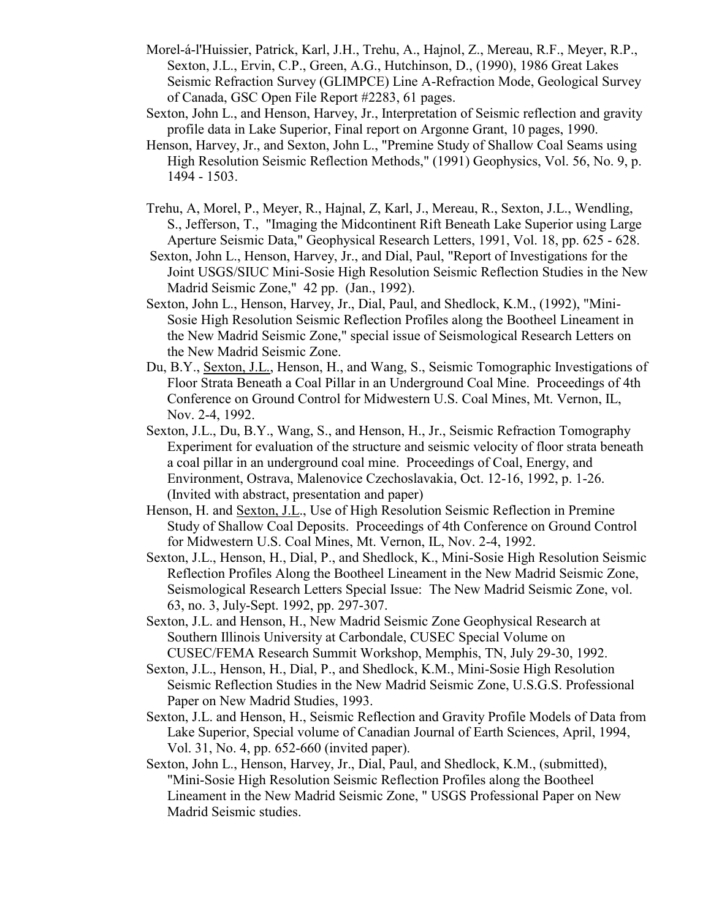- Morel-á-l'Huissier, Patrick, Karl, J.H., Trehu, A., Hajnol, Z., Mereau, R.F., Meyer, R.P., Sexton, J.L., Ervin, C.P., Green, A.G., Hutchinson, D., (1990), 1986 Great Lakes Seismic Refraction Survey (GLIMPCE) Line A-Refraction Mode, Geological Survey of Canada, GSC Open File Report #2283, 61 pages.
- Sexton, John L., and Henson, Harvey, Jr., Interpretation of Seismic reflection and gravity profile data in Lake Superior, Final report on Argonne Grant, 10 pages, 1990.
- Henson, Harvey, Jr., and Sexton, John L., "Premine Study of Shallow Coal Seams using High Resolution Seismic Reflection Methods," (1991) Geophysics, Vol. 56, No. 9, p. 1494 - 1503.
- Trehu, A, Morel, P., Meyer, R., Hajnal, Z, Karl, J., Mereau, R., Sexton, J.L., Wendling, S., Jefferson, T., "Imaging the Midcontinent Rift Beneath Lake Superior using Large Aperture Seismic Data," Geophysical Research Letters, 1991, Vol. 18, pp. 625 - 628.
- Sexton, John L., Henson, Harvey, Jr., and Dial, Paul, "Report of Investigations for the Joint USGS/SIUC Mini-Sosie High Resolution Seismic Reflection Studies in the New Madrid Seismic Zone," 42 pp. (Jan., 1992).
- Sexton, John L., Henson, Harvey, Jr., Dial, Paul, and Shedlock, K.M., (1992), "Mini-Sosie High Resolution Seismic Reflection Profiles along the Bootheel Lineament in the New Madrid Seismic Zone," special issue of Seismological Research Letters on the New Madrid Seismic Zone.
- Du, B.Y., Sexton, J.L., Henson, H., and Wang, S., Seismic Tomographic Investigations of Floor Strata Beneath a Coal Pillar in an Underground Coal Mine. Proceedings of 4th Conference on Ground Control for Midwestern U.S. Coal Mines, Mt. Vernon, IL, Nov. 2-4, 1992.
- Sexton, J.L., Du, B.Y., Wang, S., and Henson, H., Jr., Seismic Refraction Tomography Experiment for evaluation of the structure and seismic velocity of floor strata beneath a coal pillar in an underground coal mine. Proceedings of Coal, Energy, and Environment, Ostrava, Malenovice Czechoslavakia, Oct. 12-16, 1992, p. 1-26. (Invited with abstract, presentation and paper)
- Henson, H. and Sexton, J.L., Use of High Resolution Seismic Reflection in Premine Study of Shallow Coal Deposits. Proceedings of 4th Conference on Ground Control for Midwestern U.S. Coal Mines, Mt. Vernon, IL, Nov. 2-4, 1992.
- Sexton, J.L., Henson, H., Dial, P., and Shedlock, K., Mini-Sosie High Resolution Seismic Reflection Profiles Along the Bootheel Lineament in the New Madrid Seismic Zone, Seismological Research Letters Special Issue: The New Madrid Seismic Zone, vol. 63, no. 3, July-Sept. 1992, pp. 297-307.
- Sexton, J.L. and Henson, H., New Madrid Seismic Zone Geophysical Research at Southern Illinois University at Carbondale, CUSEC Special Volume on CUSEC/FEMA Research Summit Workshop, Memphis, TN, July 29-30, 1992.
- Sexton, J.L., Henson, H., Dial, P., and Shedlock, K.M., Mini-Sosie High Resolution Seismic Reflection Studies in the New Madrid Seismic Zone, U.S.G.S. Professional Paper on New Madrid Studies, 1993.
- Sexton, J.L. and Henson, H., Seismic Reflection and Gravity Profile Models of Data from Lake Superior, Special volume of Canadian Journal of Earth Sciences, April, 1994, Vol. 31, No. 4, pp. 652-660 (invited paper).
- Sexton, John L., Henson, Harvey, Jr., Dial, Paul, and Shedlock, K.M., (submitted), "Mini-Sosie High Resolution Seismic Reflection Profiles along the Bootheel Lineament in the New Madrid Seismic Zone, " USGS Professional Paper on New Madrid Seismic studies.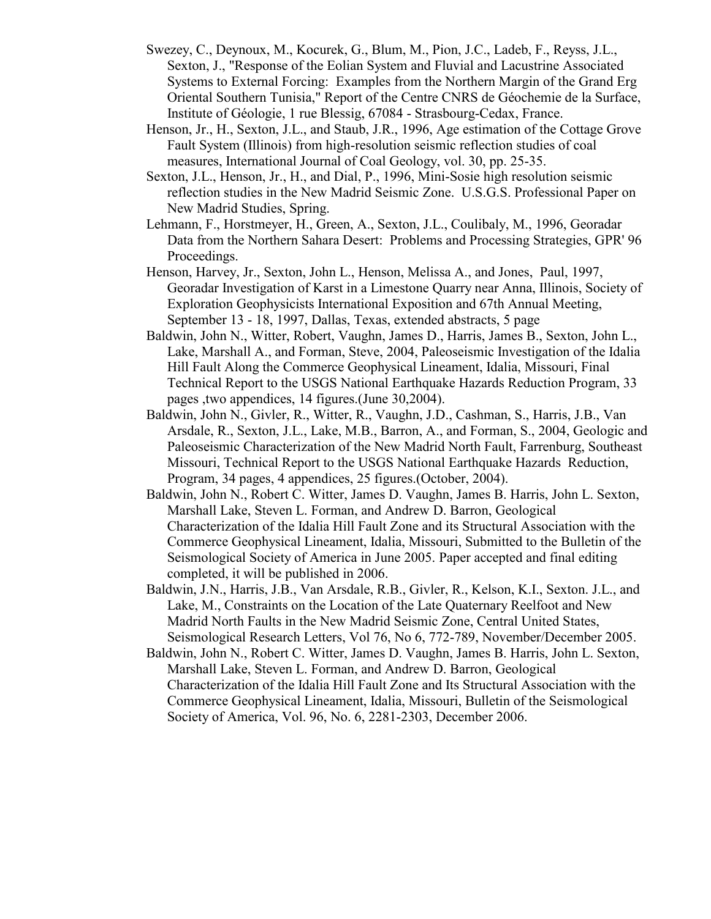- Swezey, C., Deynoux, M., Kocurek, G., Blum, M., Pion, J.C., Ladeb, F., Reyss, J.L., Sexton, J., "Response of the Eolian System and Fluvial and Lacustrine Associated Systems to External Forcing: Examples from the Northern Margin of the Grand Erg Oriental Southern Tunisia," Report of the Centre CNRS de Géochemie de la Surface, Institute of Géologie, 1 rue Blessig, 67084 - Strasbourg-Cedax, France.
- Henson, Jr., H., Sexton, J.L., and Staub, J.R., 1996, Age estimation of the Cottage Grove Fault System (Illinois) from high-resolution seismic reflection studies of coal measures, International Journal of Coal Geology, vol. 30, pp. 25-35.
- Sexton, J.L., Henson, Jr., H., and Dial, P., 1996, Mini-Sosie high resolution seismic reflection studies in the New Madrid Seismic Zone. U.S.G.S. Professional Paper on New Madrid Studies, Spring.
- Lehmann, F., Horstmeyer, H., Green, A., Sexton, J.L., Coulibaly, M., 1996, Georadar Data from the Northern Sahara Desert: Problems and Processing Strategies, GPR' 96 Proceedings.
- Henson, Harvey, Jr., Sexton, John L., Henson, Melissa A., and Jones, Paul, 1997, Georadar Investigation of Karst in a Limestone Quarry near Anna, Illinois, Society of Exploration Geophysicists International Exposition and 67th Annual Meeting, September 13 - 18, 1997, Dallas, Texas, extended abstracts, 5 page
- Baldwin, John N., Witter, Robert, Vaughn, James D., Harris, James B., Sexton, John L., Lake, Marshall A., and Forman, Steve, 2004, Paleoseismic Investigation of the Idalia Hill Fault Along the Commerce Geophysical Lineament, Idalia, Missouri, Final Technical Report to the USGS National Earthquake Hazards Reduction Program, 33 pages ,two appendices, 14 figures.(June 30,2004).
- Baldwin, John N., Givler, R., Witter, R., Vaughn, J.D., Cashman, S., Harris, J.B., Van Arsdale, R., Sexton, J.L., Lake, M.B., Barron, A., and Forman, S., 2004, Geologic and Paleoseismic Characterization of the New Madrid North Fault, Farrenburg, Southeast Missouri, Technical Report to the USGS National Earthquake Hazards Reduction, Program, 34 pages, 4 appendices, 25 figures.(October, 2004).
- Baldwin, John N., Robert C. Witter, James D. Vaughn, James B. Harris, John L. Sexton, Marshall Lake, Steven L. Forman, and Andrew D. Barron, Geological Characterization of the Idalia Hill Fault Zone and its Structural Association with the Commerce Geophysical Lineament, Idalia, Missouri, Submitted to the Bulletin of the Seismological Society of America in June 2005. Paper accepted and final editing completed, it will be published in 2006.
- Baldwin, J.N., Harris, J.B., Van Arsdale, R.B., Givler, R., Kelson, K.I., Sexton. J.L., and Lake, M., Constraints on the Location of the Late Quaternary Reelfoot and New Madrid North Faults in the New Madrid Seismic Zone, Central United States, Seismological Research Letters, Vol 76, No 6, 772-789, November/December 2005.
- Baldwin, John N., Robert C. Witter, James D. Vaughn, James B. Harris, John L. Sexton, Marshall Lake, Steven L. Forman, and Andrew D. Barron, Geological Characterization of the Idalia Hill Fault Zone and Its Structural Association with the Commerce Geophysical Lineament, Idalia, Missouri, Bulletin of the Seismological Society of America, Vol. 96, No. 6, 2281-2303, December 2006.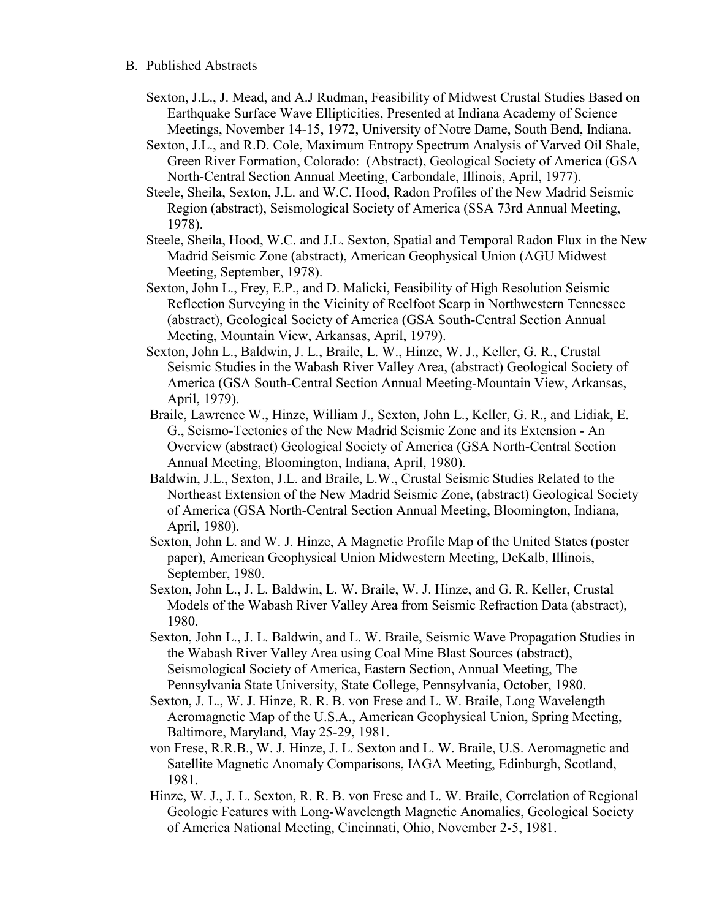### B. Published Abstracts

- Sexton, J.L., J. Mead, and A.J Rudman, Feasibility of Midwest Crustal Studies Based on Earthquake Surface Wave Ellipticities, Presented at Indiana Academy of Science Meetings, November 14-15, 1972, University of Notre Dame, South Bend, Indiana.
- Sexton, J.L., and R.D. Cole, Maximum Entropy Spectrum Analysis of Varved Oil Shale, Green River Formation, Colorado: (Abstract), Geological Society of America (GSA North-Central Section Annual Meeting, Carbondale, Illinois, April, 1977).
- Steele, Sheila, Sexton, J.L. and W.C. Hood, Radon Profiles of the New Madrid Seismic Region (abstract), Seismological Society of America (SSA 73rd Annual Meeting, 1978).
- Steele, Sheila, Hood, W.C. and J.L. Sexton, Spatial and Temporal Radon Flux in the New Madrid Seismic Zone (abstract), American Geophysical Union (AGU Midwest Meeting, September, 1978).
- Sexton, John L., Frey, E.P., and D. Malicki, Feasibility of High Resolution Seismic Reflection Surveying in the Vicinity of Reelfoot Scarp in Northwestern Tennessee (abstract), Geological Society of America (GSA South-Central Section Annual Meeting, Mountain View, Arkansas, April, 1979).
- Sexton, John L., Baldwin, J. L., Braile, L. W., Hinze, W. J., Keller, G. R., Crustal Seismic Studies in the Wabash River Valley Area, (abstract) Geological Society of America (GSA South-Central Section Annual Meeting-Mountain View, Arkansas, April, 1979).
- Braile, Lawrence W., Hinze, William J., Sexton, John L., Keller, G. R., and Lidiak, E. G., Seismo-Tectonics of the New Madrid Seismic Zone and its Extension - An Overview (abstract) Geological Society of America (GSA North-Central Section Annual Meeting, Bloomington, Indiana, April, 1980).
- Baldwin, J.L., Sexton, J.L. and Braile, L.W., Crustal Seismic Studies Related to the Northeast Extension of the New Madrid Seismic Zone, (abstract) Geological Society of America (GSA North-Central Section Annual Meeting, Bloomington, Indiana, April, 1980).
- Sexton, John L. and W. J. Hinze, A Magnetic Profile Map of the United States (poster paper), American Geophysical Union Midwestern Meeting, DeKalb, Illinois, September, 1980.
- Sexton, John L., J. L. Baldwin, L. W. Braile, W. J. Hinze, and G. R. Keller, Crustal Models of the Wabash River Valley Area from Seismic Refraction Data (abstract), 1980.
- Sexton, John L., J. L. Baldwin, and L. W. Braile, Seismic Wave Propagation Studies in the Wabash River Valley Area using Coal Mine Blast Sources (abstract), Seismological Society of America, Eastern Section, Annual Meeting, The Pennsylvania State University, State College, Pennsylvania, October, 1980.
- Sexton, J. L., W. J. Hinze, R. R. B. von Frese and L. W. Braile, Long Wavelength Aeromagnetic Map of the U.S.A., American Geophysical Union, Spring Meeting, Baltimore, Maryland, May 25-29, 1981.
- von Frese, R.R.B., W. J. Hinze, J. L. Sexton and L. W. Braile, U.S. Aeromagnetic and Satellite Magnetic Anomaly Comparisons, IAGA Meeting, Edinburgh, Scotland, 1981.
- Hinze, W. J., J. L. Sexton, R. R. B. von Frese and L. W. Braile, Correlation of Regional Geologic Features with Long-Wavelength Magnetic Anomalies, Geological Society of America National Meeting, Cincinnati, Ohio, November 2-5, 1981.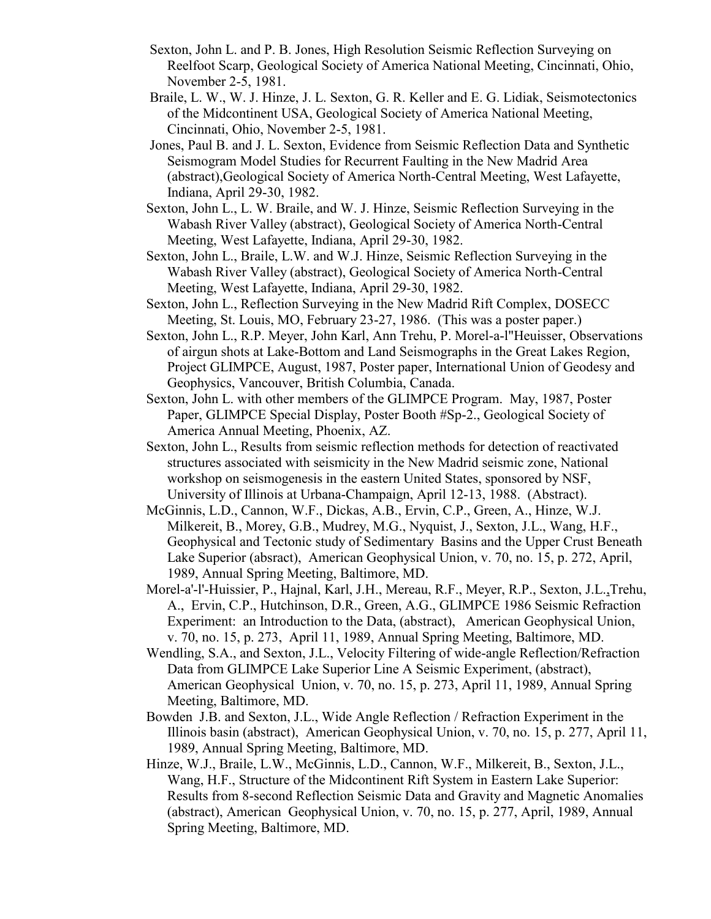- Sexton, John L. and P. B. Jones, High Resolution Seismic Reflection Surveying on Reelfoot Scarp, Geological Society of America National Meeting, Cincinnati, Ohio, November 2-5, 1981.
- Braile, L. W., W. J. Hinze, J. L. Sexton, G. R. Keller and E. G. Lidiak, Seismotectonics of the Midcontinent USA, Geological Society of America National Meeting, Cincinnati, Ohio, November 2-5, 1981.
- Jones, Paul B. and J. L. Sexton, Evidence from Seismic Reflection Data and Synthetic Seismogram Model Studies for Recurrent Faulting in the New Madrid Area (abstract),Geological Society of America North-Central Meeting, West Lafayette, Indiana, April 29-30, 1982.
- Sexton, John L., L. W. Braile, and W. J. Hinze, Seismic Reflection Surveying in the Wabash River Valley (abstract), Geological Society of America North-Central Meeting, West Lafayette, Indiana, April 29-30, 1982.
- Sexton, John L., Braile, L.W. and W.J. Hinze, Seismic Reflection Surveying in the Wabash River Valley (abstract), Geological Society of America North-Central Meeting, West Lafayette, Indiana, April 29-30, 1982.
- Sexton, John L., Reflection Surveying in the New Madrid Rift Complex, DOSECC Meeting, St. Louis, MO, February 23-27, 1986. (This was a poster paper.)
- Sexton, John L., R.P. Meyer, John Karl, Ann Trehu, P. Morel-a-l"Heuisser, Observations of airgun shots at Lake-Bottom and Land Seismographs in the Great Lakes Region, Project GLIMPCE, August, 1987, Poster paper, International Union of Geodesy and Geophysics, Vancouver, British Columbia, Canada.
- Sexton, John L. with other members of the GLIMPCE Program. May, 1987, Poster Paper, GLIMPCE Special Display, Poster Booth #Sp-2., Geological Society of America Annual Meeting, Phoenix, AZ.
- Sexton, John L., Results from seismic reflection methods for detection of reactivated structures associated with seismicity in the New Madrid seismic zone, National workshop on seismogenesis in the eastern United States, sponsored by NSF, University of Illinois at Urbana-Champaign, April 12-13, 1988. (Abstract).
- McGinnis, L.D., Cannon, W.F., Dickas, A.B., Ervin, C.P., Green, A., Hinze, W.J. Milkereit, B., Morey, G.B., Mudrey, M.G., Nyquist, J., Sexton, J.L., Wang, H.F., Geophysical and Tectonic study of Sedimentary Basins and the Upper Crust Beneath Lake Superior (absract), American Geophysical Union, v. 70, no. 15, p. 272, April, 1989, Annual Spring Meeting, Baltimore, MD.
- Morel-a'-l'-Huissier, P., Hajnal, Karl, J.H., Mereau, R.F., Meyer, R.P., Sexton, J.L.,Trehu, A., Ervin, C.P., Hutchinson, D.R., Green, A.G., GLIMPCE 1986 Seismic Refraction Experiment: an Introduction to the Data, (abstract), American Geophysical Union, v. 70, no. 15, p. 273, April 11, 1989, Annual Spring Meeting, Baltimore, MD.
- Wendling, S.A., and Sexton, J.L., Velocity Filtering of wide-angle Reflection/Refraction Data from GLIMPCE Lake Superior Line A Seismic Experiment, (abstract), American Geophysical Union, v. 70, no. 15, p. 273, April 11, 1989, Annual Spring Meeting, Baltimore, MD.
- Bowden J.B. and Sexton, J.L., Wide Angle Reflection / Refraction Experiment in the Illinois basin (abstract), American Geophysical Union, v. 70, no. 15, p. 277, April 11, 1989, Annual Spring Meeting, Baltimore, MD.
- Hinze, W.J., Braile, L.W., McGinnis, L.D., Cannon, W.F., Milkereit, B., Sexton, J.L., Wang, H.F., Structure of the Midcontinent Rift System in Eastern Lake Superior: Results from 8-second Reflection Seismic Data and Gravity and Magnetic Anomalies (abstract), American Geophysical Union, v. 70, no. 15, p. 277, April, 1989, Annual Spring Meeting, Baltimore, MD.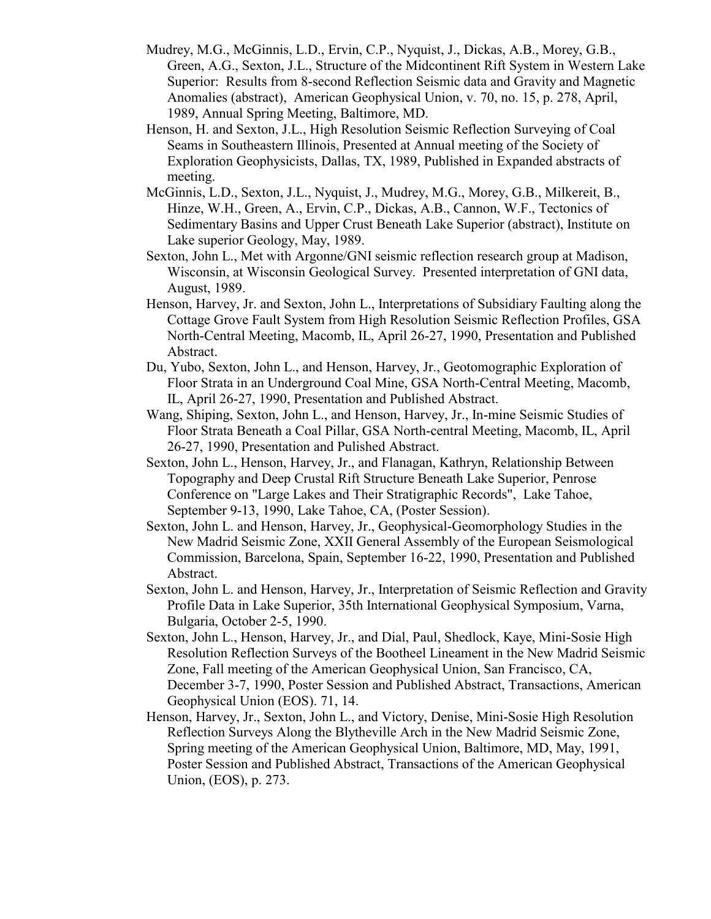- Mudrey, M.G., McGinnis, L.D., Ervin, C.P., Nyquist, J., Dickas, A.B., Morey, G.B., Green, A.G., Sexton, J.L., Structure of the Midcontinent Rift System in Western Lake Superior: Results from 8-second Reflection Seismic data and Gravity and Magnetic Anomalies (abstract), American Geophysical Union, v. 70, no. 15, p. 278, April, 1989, Annual Spring Meeting, Baltimore, MD.
- Henson, H. and Sexton, J.L., High Resolution Seismic Reflection Surveying of Coal Seams in Southeastern Illinois, Presented at Annual meeting of the Society of Exploration Geophysicists, Dallas, TX, 1989, Published in Expanded abstracts of meeting.
- McGinnis, L.D., Sexton, J.L., Nyquist, J., Mudrey, M.G., Morey, G.B., Milkereit, B., Hinze, W.H., Green, A., Ervin, C.P., Dickas, A.B., Cannon, W.F., Tectonics of Sedimentary Basins and Upper Crust Beneath Lake Superior (abstract), Institute on Lake superior Geology, May, 1989.
- Sexton, John L., Met with Argonne/GNI seismic reflection research group at Madison, Wisconsin, at Wisconsin Geological Survey. Presented interpretation of GNI data, August, 1989.
- Henson, Harvey, Jr. and Sexton, John L., Interpretations of Subsidiary Faulting along the Cottage Grove Fault System from High Resolution Seismic Reflection Profiles, GSA North-Central Meeting, Macomb, IL, April 26-27, 1990, Presentation and Published Abstract.
- Du, Yubo, Sexton, John L., and Henson, Harvey, Jr., Geotomographic Exploration of Floor Strata in an Underground Coal Mine, GSA North-Central Meeting, Macomb, IL, April 26-27, 1990, Presentation and Published Abstract.
- Wang, Shiping, Sexton, John L., and Henson, Harvey, Jr., In-mine Seismic Studies of Floor Strata Beneath a Coal Pillar, GSA North-central Meeting, Macomb, IL, April 26-27, 1990, Presentation and Pulished Abstract.
- Sexton, John L., Henson, Harvey, Jr., and Flanagan, Kathryn, Relationship Between Topography and Deep Crustal Rift Structure Beneath Lake Superior, Penrose Conference on "Large Lakes and Their Stratigraphic Records", Lake Tahoe, September 9-13, 1990, Lake Tahoe, CA, (Poster Session).
- Sexton, John L. and Henson, Harvey, Jr., Geophysical-Geomorphology Studies in the New Madrid Seismic Zone, XXII General Assembly of the European Seismological Commission, Barcelona, Spain, September 16-22, 1990, Presentation and Published Abstract.
- Sexton, John L. and Henson, Harvey, Jr., Interpretation of Seismic Reflection and Gravity Profile Data in Lake Superior, 35th International Geophysical Symposium, Varna, Bulgaria, October 2-5, 1990.
- Sexton, John L., Henson, Harvey, Jr., and Dial, Paul, Shedlock, Kaye, Mini-Sosie High Resolution Reflection Surveys of the Bootheel Lineament in the New Madrid Seismic Zone, Fall meeting of the American Geophysical Union, San Francisco, CA, December 3-7, 1990, Poster Session and Published Abstract, Transactions, American Geophysical Union (EOS). 71, 14.
- Henson, Harvey, Jr., Sexton, John L., and Victory, Denise, Mini-Sosie High Resolution Reflection Surveys Along the Blytheville Arch in the New Madrid Seismic Zone, Spring meeting of the American Geophysical Union, Baltimore, MD, May, 1991, Poster Session and Published Abstract, Transactions of the American Geophysical Union, (EOS), p. 273.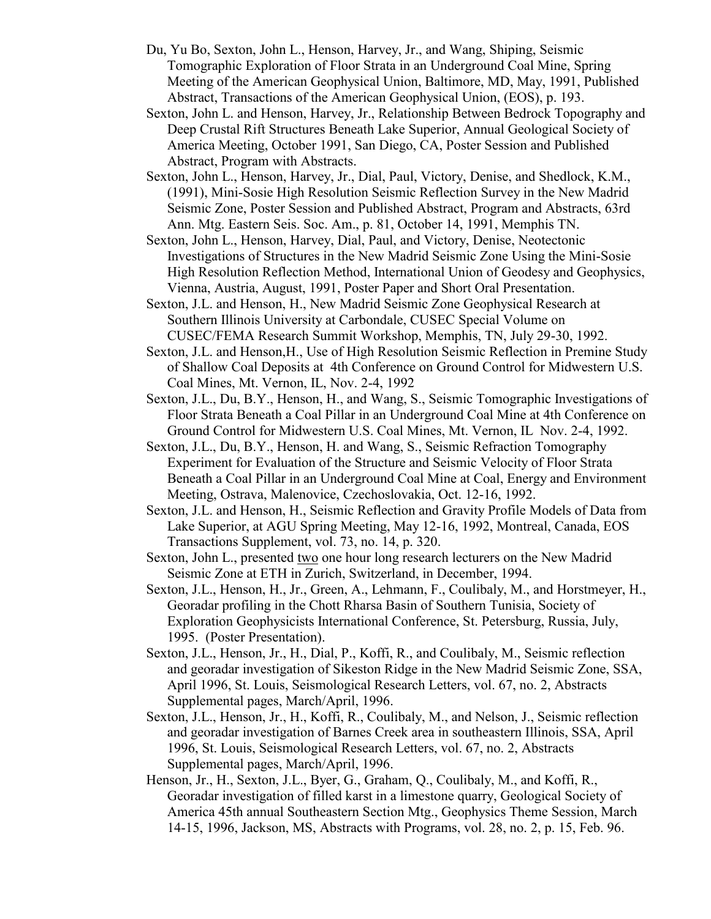- Du, Yu Bo, Sexton, John L., Henson, Harvey, Jr., and Wang, Shiping, Seismic Tomographic Exploration of Floor Strata in an Underground Coal Mine, Spring Meeting of the American Geophysical Union, Baltimore, MD, May, 1991, Published Abstract, Transactions of the American Geophysical Union, (EOS), p. 193.
- Sexton, John L. and Henson, Harvey, Jr., Relationship Between Bedrock Topography and Deep Crustal Rift Structures Beneath Lake Superior, Annual Geological Society of America Meeting, October 1991, San Diego, CA, Poster Session and Published Abstract, Program with Abstracts.
- Sexton, John L., Henson, Harvey, Jr., Dial, Paul, Victory, Denise, and Shedlock, K.M., (1991), Mini-Sosie High Resolution Seismic Reflection Survey in the New Madrid Seismic Zone, Poster Session and Published Abstract, Program and Abstracts, 63rd Ann. Mtg. Eastern Seis. Soc. Am., p. 81, October 14, 1991, Memphis TN.
- Sexton, John L., Henson, Harvey, Dial, Paul, and Victory, Denise, Neotectonic Investigations of Structures in the New Madrid Seismic Zone Using the Mini-Sosie High Resolution Reflection Method, International Union of Geodesy and Geophysics, Vienna, Austria, August, 1991, Poster Paper and Short Oral Presentation.
- Sexton, J.L. and Henson, H., New Madrid Seismic Zone Geophysical Research at Southern Illinois University at Carbondale, CUSEC Special Volume on CUSEC/FEMA Research Summit Workshop, Memphis, TN, July 29-30, 1992.
- Sexton, J.L. and Henson,H., Use of High Resolution Seismic Reflection in Premine Study of Shallow Coal Deposits at 4th Conference on Ground Control for Midwestern U.S. Coal Mines, Mt. Vernon, IL, Nov. 2-4, 1992
- Sexton, J.L., Du, B.Y., Henson, H., and Wang, S., Seismic Tomographic Investigations of Floor Strata Beneath a Coal Pillar in an Underground Coal Mine at 4th Conference on Ground Control for Midwestern U.S. Coal Mines, Mt. Vernon, IL Nov. 2-4, 1992.
- Sexton, J.L., Du, B.Y., Henson, H. and Wang, S., Seismic Refraction Tomography Experiment for Evaluation of the Structure and Seismic Velocity of Floor Strata Beneath a Coal Pillar in an Underground Coal Mine at Coal, Energy and Environment Meeting, Ostrava, Malenovice, Czechoslovakia, Oct. 12-16, 1992.
- Sexton, J.L. and Henson, H., Seismic Reflection and Gravity Profile Models of Data from Lake Superior, at AGU Spring Meeting, May 12-16, 1992, Montreal, Canada, EOS Transactions Supplement, vol. 73, no. 14, p. 320.
- Sexton, John L., presented two one hour long research lecturers on the New Madrid Seismic Zone at ETH in Zurich, Switzerland, in December, 1994.
- Sexton, J.L., Henson, H., Jr., Green, A., Lehmann, F., Coulibaly, M., and Horstmeyer, H., Georadar profiling in the Chott Rharsa Basin of Southern Tunisia, Society of Exploration Geophysicists International Conference, St. Petersburg, Russia, July, 1995. (Poster Presentation).
- Sexton, J.L., Henson, Jr., H., Dial, P., Koffi, R., and Coulibaly, M., Seismic reflection and georadar investigation of Sikeston Ridge in the New Madrid Seismic Zone, SSA, April 1996, St. Louis, Seismological Research Letters, vol. 67, no. 2, Abstracts Supplemental pages, March/April, 1996.
- Sexton, J.L., Henson, Jr., H., Koffi, R., Coulibaly, M., and Nelson, J., Seismic reflection and georadar investigation of Barnes Creek area in southeastern Illinois, SSA, April 1996, St. Louis, Seismological Research Letters, vol. 67, no. 2, Abstracts Supplemental pages, March/April, 1996.
- Henson, Jr., H., Sexton, J.L., Byer, G., Graham, Q., Coulibaly, M., and Koffi, R., Georadar investigation of filled karst in a limestone quarry, Geological Society of America 45th annual Southeastern Section Mtg., Geophysics Theme Session, March 14-15, 1996, Jackson, MS, Abstracts with Programs, vol. 28, no. 2, p. 15, Feb. 96.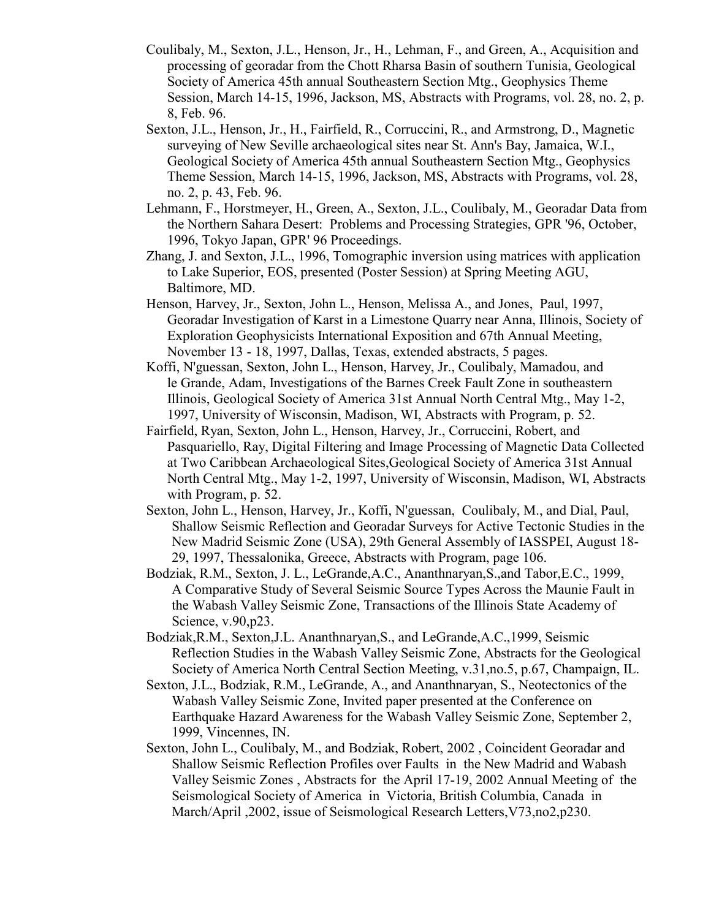- Coulibaly, M., Sexton, J.L., Henson, Jr., H., Lehman, F., and Green, A., Acquisition and processing of georadar from the Chott Rharsa Basin of southern Tunisia, Geological Society of America 45th annual Southeastern Section Mtg., Geophysics Theme Session, March 14-15, 1996, Jackson, MS, Abstracts with Programs, vol. 28, no. 2, p. 8, Feb. 96.
- Sexton, J.L., Henson, Jr., H., Fairfield, R., Corruccini, R., and Armstrong, D., Magnetic surveying of New Seville archaeological sites near St. Ann's Bay, Jamaica, W.I., Geological Society of America 45th annual Southeastern Section Mtg., Geophysics Theme Session, March 14-15, 1996, Jackson, MS, Abstracts with Programs, vol. 28, no. 2, p. 43, Feb. 96.
- Lehmann, F., Horstmeyer, H., Green, A., Sexton, J.L., Coulibaly, M., Georadar Data from the Northern Sahara Desert: Problems and Processing Strategies, GPR '96, October, 1996, Tokyo Japan, GPR' 96 Proceedings.
- Zhang, J. and Sexton, J.L., 1996, Tomographic inversion using matrices with application to Lake Superior, EOS, presented (Poster Session) at Spring Meeting AGU, Baltimore, MD.
- Henson, Harvey, Jr., Sexton, John L., Henson, Melissa A., and Jones, Paul, 1997, Georadar Investigation of Karst in a Limestone Quarry near Anna, Illinois, Society of Exploration Geophysicists International Exposition and 67th Annual Meeting, November 13 - 18, 1997, Dallas, Texas, extended abstracts, 5 pages.
- Koffi, N'guessan, Sexton, John L., Henson, Harvey, Jr., Coulibaly, Mamadou, and le Grande, Adam, Investigations of the Barnes Creek Fault Zone in southeastern Illinois, Geological Society of America 31st Annual North Central Mtg., May 1-2, 1997, University of Wisconsin, Madison, WI, Abstracts with Program, p. 52.
- Fairfield, Ryan, Sexton, John L., Henson, Harvey, Jr., Corruccini, Robert, and Pasquariello, Ray, Digital Filtering and Image Processing of Magnetic Data Collected at Two Caribbean Archaeological Sites,Geological Society of America 31st Annual North Central Mtg., May 1-2, 1997, University of Wisconsin, Madison, WI, Abstracts with Program, p. 52.
- Sexton, John L., Henson, Harvey, Jr., Koffi, N'guessan, Coulibaly, M., and Dial, Paul, Shallow Seismic Reflection and Georadar Surveys for Active Tectonic Studies in the New Madrid Seismic Zone (USA), 29th General Assembly of IASSPEI, August 18- 29, 1997, Thessalonika, Greece, Abstracts with Program, page 106.
- Bodziak, R.M., Sexton, J. L., LeGrande,A.C., Ananthnaryan,S.,and Tabor,E.C., 1999, A Comparative Study of Several Seismic Source Types Across the Maunie Fault in the Wabash Valley Seismic Zone, Transactions of the Illinois State Academy of Science, v.90,p23.
- Bodziak,R.M., Sexton,J.L. Ananthnaryan,S., and LeGrande,A.C.,1999, Seismic Reflection Studies in the Wabash Valley Seismic Zone, Abstracts for the Geological Society of America North Central Section Meeting, v.31,no.5, p.67, Champaign, IL.
- Sexton, J.L., Bodziak, R.M., LeGrande, A., and Ananthnaryan, S., Neotectonics of the Wabash Valley Seismic Zone, Invited paper presented at the Conference on Earthquake Hazard Awareness for the Wabash Valley Seismic Zone, September 2, 1999, Vincennes, IN.
- Sexton, John L., Coulibaly, M., and Bodziak, Robert, 2002 , Coincident Georadar and Shallow Seismic Reflection Profiles over Faults in the New Madrid and Wabash Valley Seismic Zones , Abstracts for the April 17-19, 2002 Annual Meeting of the Seismological Society of America in Victoria, British Columbia, Canada in March/April ,2002, issue of Seismological Research Letters,V73,no2,p230.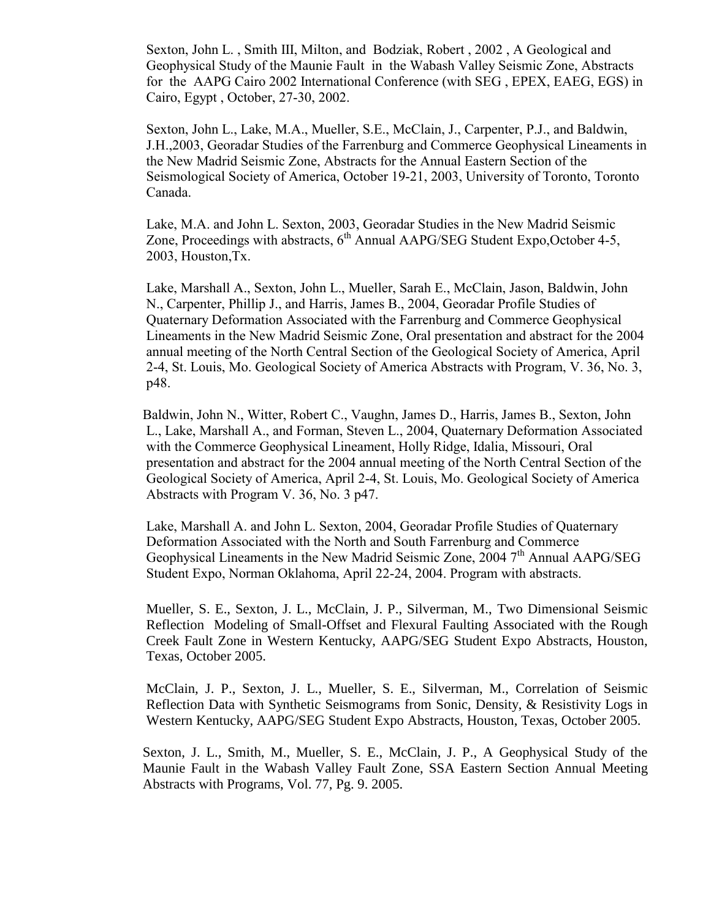Sexton, John L. , Smith III, Milton, and Bodziak, Robert , 2002 , A Geological and Geophysical Study of the Maunie Fault in the Wabash Valley Seismic Zone, Abstracts for the AAPG Cairo 2002 International Conference (with SEG , EPEX, EAEG, EGS) in Cairo, Egypt , October, 27-30, 2002.

Sexton, John L., Lake, M.A., Mueller, S.E., McClain, J., Carpenter, P.J., and Baldwin, J.H.,2003, Georadar Studies of the Farrenburg and Commerce Geophysical Lineaments in the New Madrid Seismic Zone, Abstracts for the Annual Eastern Section of the Seismological Society of America, October 19-21, 2003, University of Toronto, Toronto Canada.

Lake, M.A. and John L. Sexton, 2003, Georadar Studies in the New Madrid Seismic Zone, Proceedings with abstracts,  $6<sup>th</sup>$  Annual AAPG/SEG Student Expo, October 4-5, 2003, Houston,Tx.

Lake, Marshall A., Sexton, John L., Mueller, Sarah E., McClain, Jason, Baldwin, John N., Carpenter, Phillip J., and Harris, James B., 2004, Georadar Profile Studies of Quaternary Deformation Associated with the Farrenburg and Commerce Geophysical Lineaments in the New Madrid Seismic Zone, Oral presentation and abstract for the 2004 annual meeting of the North Central Section of the Geological Society of America, April 2-4, St. Louis, Mo. Geological Society of America Abstracts with Program, V. 36, No. 3, p48.

 Baldwin, John N., Witter, Robert C., Vaughn, James D., Harris, James B., Sexton, John L., Lake, Marshall A., and Forman, Steven L., 2004, Quaternary Deformation Associated with the Commerce Geophysical Lineament, Holly Ridge, Idalia, Missouri, Oral presentation and abstract for the 2004 annual meeting of the North Central Section of the Geological Society of America, April 2-4, St. Louis, Mo. Geological Society of America Abstracts with Program V. 36, No. 3 p47.

Lake, Marshall A. and John L. Sexton, 2004, Georadar Profile Studies of Quaternary Deformation Associated with the North and South Farrenburg and Commerce Geophysical Lineaments in the New Madrid Seismic Zone, 2004 7<sup>th</sup> Annual AAPG/SEG Student Expo, Norman Oklahoma, April 22-24, 2004. Program with abstracts.

Mueller, S. E., Sexton, J. L., McClain, J. P., Silverman, M., Two Dimensional Seismic Reflection Modeling of Small-Offset and Flexural Faulting Associated with the Rough Creek Fault Zone in Western Kentucky, AAPG/SEG Student Expo Abstracts, Houston, Texas, October 2005.

McClain, J. P., Sexton, J. L., Mueller, S. E., Silverman, M., Correlation of Seismic Reflection Data with Synthetic Seismograms from Sonic, Density, & Resistivity Logs in Western Kentucky, AAPG/SEG Student Expo Abstracts, Houston, Texas, October 2005.

Sexton, J. L., Smith, M., Mueller, S. E., McClain, J. P., A Geophysical Study of the Maunie Fault in the Wabash Valley Fault Zone, SSA Eastern Section Annual Meeting Abstracts with Programs, Vol. 77, Pg. 9. 2005.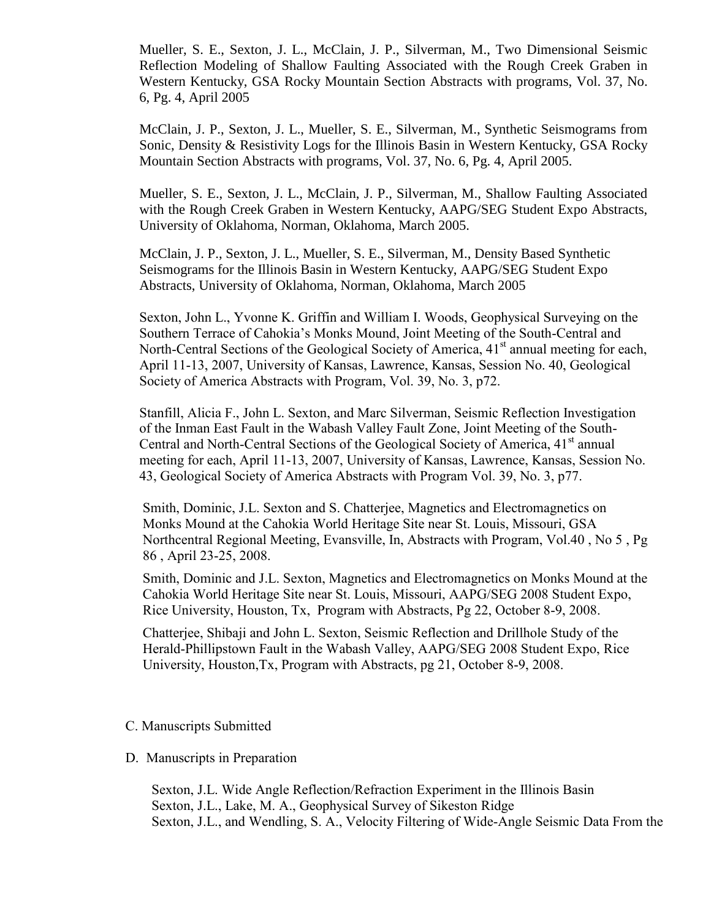Mueller, S. E., Sexton, J. L., McClain, J. P., Silverman, M., Two Dimensional Seismic Reflection Modeling of Shallow Faulting Associated with the Rough Creek Graben in Western Kentucky, GSA Rocky Mountain Section Abstracts with programs, Vol. 37, No. 6, Pg. 4, April 2005

McClain, J. P., Sexton, J. L., Mueller, S. E., Silverman, M., Synthetic Seismograms from Sonic, Density & Resistivity Logs for the Illinois Basin in Western Kentucky, GSA Rocky Mountain Section Abstracts with programs, Vol. 37, No. 6, Pg. 4, April 2005.

Mueller, S. E., Sexton, J. L., McClain, J. P., Silverman, M., Shallow Faulting Associated with the Rough Creek Graben in Western Kentucky, AAPG/SEG Student Expo Abstracts, University of Oklahoma, Norman, Oklahoma, March 2005.

McClain, J. P., Sexton, J. L., Mueller, S. E., Silverman, M., Density Based Synthetic Seismograms for the Illinois Basin in Western Kentucky, AAPG/SEG Student Expo Abstracts, University of Oklahoma, Norman, Oklahoma, March 2005

Sexton, John L., Yvonne K. Griffin and William I. Woods, Geophysical Surveying on the Southern Terrace of Cahokia's Monks Mound, Joint Meeting of the South-Central and North-Central Sections of the Geological Society of America,  $41<sup>st</sup>$  annual meeting for each, April 11-13, 2007, University of Kansas, Lawrence, Kansas, Session No. 40, Geological Society of America Abstracts with Program, Vol. 39, No. 3, p72.

Stanfill, Alicia F., John L. Sexton, and Marc Silverman, Seismic Reflection Investigation of the Inman East Fault in the Wabash Valley Fault Zone, Joint Meeting of the South-Central and North-Central Sections of the Geological Society of America,  $41<sup>st</sup>$  annual meeting for each, April 11-13, 2007, University of Kansas, Lawrence, Kansas, Session No. 43, Geological Society of America Abstracts with Program Vol. 39, No. 3, p77.

Smith, Dominic, J.L. Sexton and S. Chatterjee, Magnetics and Electromagnetics on Monks Mound at the Cahokia World Heritage Site near St. Louis, Missouri, GSA Northcentral Regional Meeting, Evansville, In, Abstracts with Program, Vol.40 , No 5 , Pg 86 , April 23-25, 2008.

Smith, Dominic and J.L. Sexton, Magnetics and Electromagnetics on Monks Mound at the Cahokia World Heritage Site near St. Louis, Missouri, AAPG/SEG 2008 Student Expo, Rice University, Houston, Tx, Program with Abstracts, Pg 22, October 8-9, 2008.

Chatterjee, Shibaji and John L. Sexton, Seismic Reflection and Drillhole Study of the Herald-Phillipstown Fault in the Wabash Valley, AAPG/SEG 2008 Student Expo, Rice University, Houston,Tx, Program with Abstracts, pg 21, October 8-9, 2008.

#### C. Manuscripts Submitted

#### D. Manuscripts in Preparation

Sexton, J.L. Wide Angle Reflection/Refraction Experiment in the Illinois Basin Sexton, J.L., Lake, M. A., Geophysical Survey of Sikeston Ridge Sexton, J.L., and Wendling, S. A., Velocity Filtering of Wide-Angle Seismic Data From the